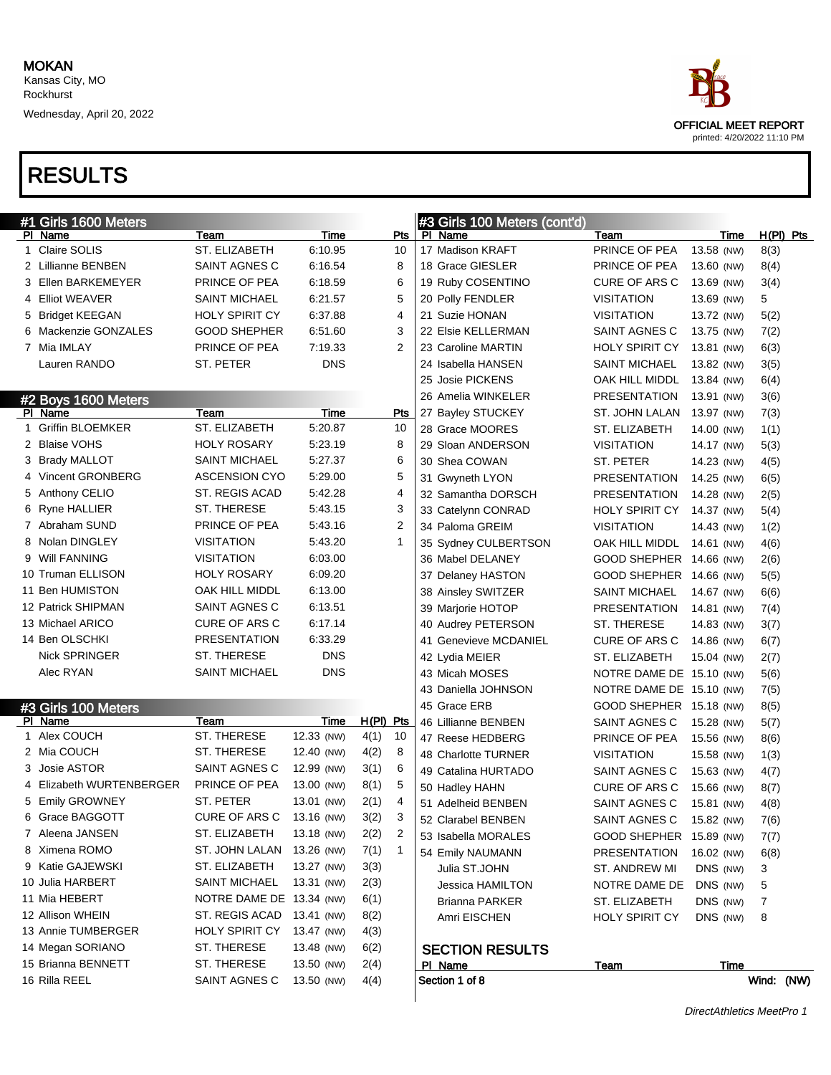Wednesday, April 20, 2022



| #1 Girls 1600 Meters         |                          |             |             |              | #3 Girls 100 Meters (cont'd) |                          |             |             |
|------------------------------|--------------------------|-------------|-------------|--------------|------------------------------|--------------------------|-------------|-------------|
| PI Name                      | Team                     | Time        |             | <b>Pts</b>   | PI Name                      | Team                     | Time        | $H(PI)$ Pts |
| Claire SOLIS                 | ST. ELIZABETH            | 6:10.95     |             | 10           | 17 Madison KRAFT             | PRINCE OF PEA            | 13.58 (NW)  | 8(3)        |
| 2 Lillianne BENBEN           | SAINT AGNES C            | 6:16.54     |             | 8            | 18 Grace GIESLER             | PRINCE OF PEA            | 13.60 (NW)  | 8(4)        |
| 3 Ellen BARKEMEYER           | PRINCE OF PEA            | 6:18.59     |             | 6            | 19 Ruby COSENTINO            | <b>CURE OF ARS C</b>     | 13.69 (NW)  | 3(4)        |
| 4 Elliot WEAVER              | <b>SAINT MICHAEL</b>     | 6:21.57     |             | 5            | 20 Polly FENDLER             | <b>VISITATION</b>        | 13.69 (NW)  | 5           |
| 5 Bridget KEEGAN             | <b>HOLY SPIRIT CY</b>    | 6:37.88     |             | 4            | 21 Suzie HONAN               | <b>VISITATION</b>        | 13.72 (NW)  | 5(2)        |
| 6 Mackenzie GONZALES         | <b>GOOD SHEPHER</b>      | 6:51.60     |             | 3            | 22 Elsie KELLERMAN           | SAINT AGNES C            | 13.75 (NW)  | 7(2)        |
| 7 Mia IMLAY                  | PRINCE OF PEA            | 7:19.33     |             | 2            | 23 Caroline MARTIN           | <b>HOLY SPIRIT CY</b>    | 13.81 (NW)  | 6(3)        |
| Lauren RANDO                 | ST. PETER                | <b>DNS</b>  |             |              | 24 Isabella HANSEN           | <b>SAINT MICHAEL</b>     | 13.82 (NW)  | 3(5)        |
|                              |                          |             |             |              | 25 Josie PICKENS             | OAK HILL MIDDL           | 13.84 (NW)  | 6(4)        |
| #2 Boys 1600 Meters          |                          |             |             |              | 26 Amelia WINKELER           | <b>PRESENTATION</b>      | 13.91 (NW)  | 3(6)        |
| PI Name                      | Team                     | <b>Time</b> |             | <b>Pts</b>   | 27 Bayley STUCKEY            | ST. JOHN LALAN           | 13.97 (NW)  | 7(3)        |
| <b>Griffin BLOEMKER</b><br>1 | ST. ELIZABETH            | 5:20.87     |             | 10           | 28 Grace MOORES              | ST. ELIZABETH            | 14.00 (NW)  | 1(1)        |
| 2 Blaise VOHS                | <b>HOLY ROSARY</b>       | 5:23.19     |             | 8            | 29 Sloan ANDERSON            | <b>VISITATION</b>        | 14.17 (NW)  | 5(3)        |
| 3 Brady MALLOT               | <b>SAINT MICHAEL</b>     | 5:27.37     |             | 6            | 30 Shea COWAN                | ST. PETER                | 14.23 (NW)  | 4(5)        |
| 4 Vincent GRONBERG           | <b>ASCENSION CYO</b>     | 5:29.00     |             | 5            | 31 Gwyneth LYON              | <b>PRESENTATION</b>      | 14.25 (NW)  | 6(5)        |
| 5 Anthony CELIO              | ST. REGIS ACAD           | 5:42.28     |             | 4            | 32 Samantha DORSCH           | <b>PRESENTATION</b>      | 14.28 (NW)  | 2(5)        |
| 6 Ryne HALLIER               | ST. THERESE              | 5:43.15     |             | 3            | 33 Catelynn CONRAD           | <b>HOLY SPIRIT CY</b>    | 14.37 (NW)  | 5(4)        |
| 7 Abraham SUND               | PRINCE OF PEA            | 5:43.16     |             | 2            | 34 Paloma GREIM              | <b>VISITATION</b>        | 14.43 (NW)  | 1(2)        |
| 8 Nolan DINGLEY              | VISITATION               | 5:43.20     |             | $\mathbf{1}$ | 35 Sydney CULBERTSON         | OAK HILL MIDDL           | 14.61 (NW)  | 4(6)        |
| <b>Will FANNING</b><br>9     | VISITATION               | 6:03.00     |             |              | 36 Mabel DELANEY             | GOOD SHEPHER 14.66 (NW)  |             | 2(6)        |
| 10 Truman ELLISON            | HOLY ROSARY              | 6:09.20     |             |              | 37 Delaney HASTON            | GOOD SHEPHER 14.66 (NW)  |             | 5(5)        |
| 11 Ben HUMISTON              | OAK HILL MIDDL           | 6:13.00     |             |              | 38 Ainsley SWITZER           | <b>SAINT MICHAEL</b>     | 14.67 (NW)  | 6(6)        |
| 12 Patrick SHIPMAN           | SAINT AGNES C            | 6:13.51     |             |              | 39 Marjorie HOTOP            | <b>PRESENTATION</b>      | 14.81 (NW)  | 7(4)        |
| 13 Michael ARICO             | <b>CURE OF ARS C</b>     | 6:17.14     |             |              | 40 Audrey PETERSON           | ST. THERESE              | 14.83 (NW)  | 3(7)        |
| 14 Ben OLSCHKI               | <b>PRESENTATION</b>      | 6:33.29     |             |              | 41 Genevieve MCDANIEL        | <b>CURE OF ARS C</b>     | 14.86 (NW)  | 6(7)        |
| <b>Nick SPRINGER</b>         | ST. THERESE              | <b>DNS</b>  |             |              | 42 Lydia MEIER               | ST. ELIZABETH            | 15.04 (NW)  | 2(7)        |
| Alec RYAN                    | <b>SAINT MICHAEL</b>     | <b>DNS</b>  |             |              | 43 Micah MOSES               | NOTRE DAME DE 15.10 (NW) |             | 5(6)        |
|                              |                          |             |             |              | 43 Daniella JOHNSON          | NOTRE DAME DE 15.10 (NW) |             | 7(5)        |
| #3 Girls 100 Meters          |                          |             |             |              | 45 Grace ERB                 | GOOD SHEPHER 15.18 (NW)  |             | 8(5)        |
| PI Name                      | Team                     | Time        | $H(PI)$ Pts |              | 46 Lillianne BENBEN          | SAINT AGNES C            | 15.28 (NW)  | 5(7)        |
| 1 Alex COUCH                 | ST. THERESE              | 12.33 (NW)  | 4(1)        | 10           | 47 Reese HEDBERG             | PRINCE OF PEA            | 15.56 (NW)  | 8(6)        |
| 2 Mia COUCH                  | ST. THERESE              | 12.40 (NW)  | 4(2)        | 8            | 48 Charlotte TURNER          | <b>VISITATION</b>        | 15.58 (NW)  | 1(3)        |
| 3 Josie ASTOR                | SAINT AGNES C            | 12.99 (NW)  | 3(1)        | 6            | 49 Catalina HURTADO          | SAINT AGNES C            | 15.63 (NW)  | 4(7)        |
| 4 Elizabeth WURTENBERGER     | PRINCE OF PEA            | 13.00 (NW)  | 8(1)        | 5            | 50 Hadley HAHN               | CURE OF ARS C            | 15.66 (NW)  | 8(7)        |
| 5 Emily GROWNEY              | ST. PETER                | 13.01 (NW)  | 2(1)        | 4            | 51 Adelheid BENBEN           | SAINT AGNES C            | 15.81 (NW)  | 4(8)        |
| Grace BAGGOTT                | CURE OF ARS C 13.16 (NW) |             | 3(2)        | $\sqrt{3}$   | 52 Clarabel BENBEN           | SAINT AGNES C            | 15.82 (NW)  | 7(6)        |
| 7 Aleena JANSEN              | ST. ELIZABETH            | 13.18 (NW)  | 2(2)        | 2            | 53 Isabella MORALES          | GOOD SHEPHER 15.89 (NW)  |             | 7(7)        |
| 8 Ximena ROMO                | ST. JOHN LALAN           | 13.26 (NW)  | 7(1)        | $\mathbf{1}$ | 54 Emily NAUMANN             | <b>PRESENTATION</b>      | 16.02 (NW)  | 6(8)        |
| 9 Katie GAJEWSKI             | ST. ELIZABETH            | 13.27 (NW)  | 3(3)        |              | Julia ST.JOHN                | ST. ANDREW MI            | DNS (NW)    | 3           |
| 10 Julia HARBERT             | <b>SAINT MICHAEL</b>     | 13.31 (NW)  | 2(3)        |              | Jessica HAMILTON             | NOTRE DAME DE            | DNS (NW)    | 5           |
| 11 Mia HEBERT                | NOTRE DAME DE 13.34 (NW) |             | 6(1)        |              | Brianna PARKER               | ST. ELIZABETH            | DNS (NW)    | 7           |
| 12 Allison WHEIN             | ST. REGIS ACAD           | 13.41 (NW)  | 8(2)        |              | Amri EISCHEN                 | <b>HOLY SPIRIT CY</b>    | DNS (NW)    | 8           |
| 13 Annie TUMBERGER           | <b>HOLY SPIRIT CY</b>    | 13.47 (NW)  | 4(3)        |              |                              |                          |             |             |
| 14 Megan SORIANO             | ST. THERESE              | 13.48 (NW)  | 6(2)        |              | <b>SECTION RESULTS</b>       |                          |             |             |
| 15 Brianna BENNETT           | ST. THERESE              | 13.50 (NW)  | 2(4)        |              | <b>PI</b> Name               | Team                     | <b>Time</b> |             |
| 16 Rilla REEL                | SAINT AGNES C            | 13.50 (NW)  | 4(4)        |              | Section 1 of 8               |                          |             | Wind: (NW)  |
|                              |                          |             |             |              |                              |                          |             |             |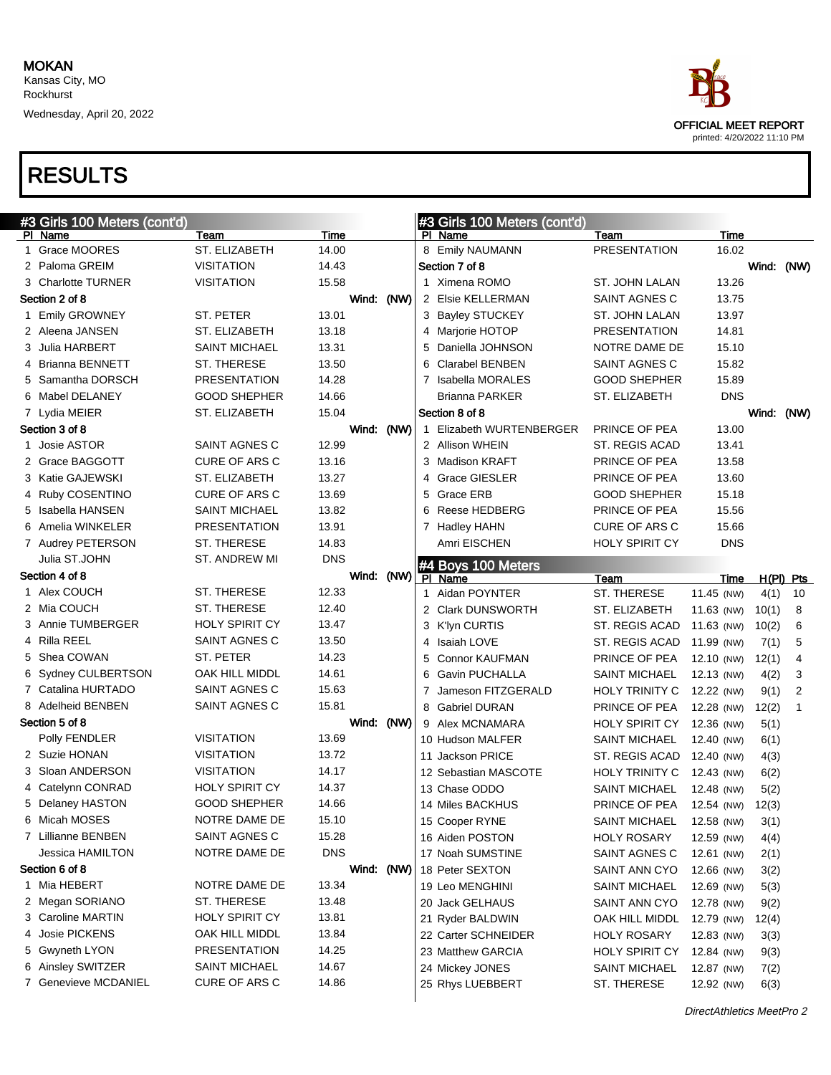Wednesday, April 20, 2022



|   | #3 Girls 100 Meters (cont'd) |                       |            |  | #3 Girls 100 Meters (cont'd) |                          |                          |            |             |                |
|---|------------------------------|-----------------------|------------|--|------------------------------|--------------------------|--------------------------|------------|-------------|----------------|
|   | PI Name                      | Team                  | Time       |  |                              | PI Name                  | Team                     | Time       |             |                |
| 1 | Grace MOORES                 | ST. ELIZABETH         | 14.00      |  |                              | 8 Emily NAUMANN          | <b>PRESENTATION</b>      | 16.02      |             |                |
|   | 2 Paloma GREIM               | <b>VISITATION</b>     | 14.43      |  |                              | Section 7 of 8           |                          |            | Wind: (NW)  |                |
|   | 3 Charlotte TURNER           | <b>VISITATION</b>     | 15.58      |  |                              | 1 Ximena ROMO            | ST. JOHN LALAN           | 13.26      |             |                |
|   | Section 2 of 8               |                       | Wind: (NW) |  |                              | 2 Elsie KELLERMAN        | SAINT AGNES C            | 13.75      |             |                |
|   | 1 Emily GROWNEY              | ST. PETER             | 13.01      |  |                              | 3 Bayley STUCKEY         | ST. JOHN LALAN           | 13.97      |             |                |
|   | 2 Aleena JANSEN              | ST. ELIZABETH         | 13.18      |  |                              | 4 Marjorie HOTOP         | <b>PRESENTATION</b>      | 14.81      |             |                |
|   | 3 Julia HARBERT              | <b>SAINT MICHAEL</b>  | 13.31      |  | 5                            | Daniella JOHNSON         | NOTRE DAME DE            | 15.10      |             |                |
|   | 4 Brianna BENNETT            | ST. THERESE           | 13.50      |  | 6                            | <b>Clarabel BENBEN</b>   | <b>SAINT AGNES C</b>     | 15.82      |             |                |
|   | 5 Samantha DORSCH            | <b>PRESENTATION</b>   | 14.28      |  | 7                            | Isabella MORALES         | <b>GOOD SHEPHER</b>      | 15.89      |             |                |
|   | 6 Mabel DELANEY              | <b>GOOD SHEPHER</b>   | 14.66      |  |                              | <b>Brianna PARKER</b>    | ST. ELIZABETH            | <b>DNS</b> |             |                |
|   | 7 Lydia MEIER                | ST. ELIZABETH         | 15.04      |  |                              | Section 8 of 8           |                          |            | Wind: (NW)  |                |
|   | Section 3 of 8               |                       | Wind: (NW) |  |                              | 1 Elizabeth WURTENBERGER | PRINCE OF PEA            | 13.00      |             |                |
|   | Josie ASTOR                  | SAINT AGNES C         | 12.99      |  |                              | 2 Allison WHEIN          | <b>ST. REGIS ACAD</b>    | 13.41      |             |                |
|   | 2 Grace BAGGOTT              | <b>CURE OF ARS C</b>  | 13.16      |  |                              | 3 Madison KRAFT          | PRINCE OF PEA            | 13.58      |             |                |
|   | 3 Katie GAJEWSKI             | ST. ELIZABETH         | 13.27      |  |                              | 4 Grace GIESLER          | PRINCE OF PEA            | 13.60      |             |                |
|   | 4 Ruby COSENTINO             | <b>CURE OF ARS C</b>  | 13.69      |  | 5                            | Grace ERB                | <b>GOOD SHEPHER</b>      | 15.18      |             |                |
|   | 5 Isabella HANSEN            | <b>SAINT MICHAEL</b>  | 13.82      |  | 6                            | <b>Reese HEDBERG</b>     | PRINCE OF PEA            | 15.56      |             |                |
|   | 6 Amelia WINKELER            | <b>PRESENTATION</b>   | 13.91      |  |                              | 7 Hadley HAHN            | CURE OF ARS C            | 15.66      |             |                |
|   | 7 Audrey PETERSON            | ST. THERESE           | 14.83      |  |                              | Amri EISCHEN             | <b>HOLY SPIRIT CY</b>    | <b>DNS</b> |             |                |
|   | Julia ST.JOHN                | ST. ANDREW MI         | <b>DNS</b> |  |                              | #4 Boys 100 Meters       |                          |            |             |                |
|   | Section 4 of 8               |                       | Wind: (NW) |  |                              | PI Name                  | Team                     | Time       | $H(PI)$ Pts |                |
|   | 1 Alex COUCH                 | ST. THERESE           | 12.33      |  |                              | 1 Aidan POYNTER          | ST. THERESE              | 11.45 (NW) | 4(1)        | 10             |
|   | 2 Mia COUCH                  | ST. THERESE           | 12.40      |  |                              | 2 Clark DUNSWORTH        | ST. ELIZABETH            | 11.63 (NW) | 10(1)       | 8              |
|   | 3 Annie TUMBERGER            | <b>HOLY SPIRIT CY</b> | 13.47      |  |                              | 3 K'lyn CURTIS           | ST. REGIS ACAD           | 11.63 (NW) | 10(2)       | 6              |
|   | 4 Rilla REEL                 | SAINT AGNES C         | 13.50      |  |                              | 4 Isaiah LOVE            | ST. REGIS ACAD           | 11.99 (NW) | 7(1)        | 5              |
|   | 5 Shea COWAN                 | ST. PETER             | 14.23      |  | 5                            | <b>Connor KAUFMAN</b>    | PRINCE OF PEA            | 12.10 (NW) | 12(1)       | 4              |
|   | 6 Sydney CULBERTSON          | OAK HILL MIDDL        | 14.61      |  | 6                            | <b>Gavin PUCHALLA</b>    | <b>SAINT MICHAEL</b>     | 12.13 (NW) | 4(2)        | 3              |
|   | 7 Catalina HURTADO           | SAINT AGNES C         | 15.63      |  | 7                            | Jameson FITZGERALD       | HOLY TRINITY C           | 12.22 (NW) | 9(1)        | $\overline{2}$ |
|   | 8 Adelheid BENBEN            | SAINT AGNES C         | 15.81      |  | 8                            | <b>Gabriel DURAN</b>     | PRINCE OF PEA            | 12.28 (NW) | 12(2)       | 1              |
|   | Section 5 of 8               |                       | Wind: (NW) |  |                              | 9 Alex MCNAMARA          | <b>HOLY SPIRIT CY</b>    | 12.36 (NW) | 5(1)        |                |
|   | Polly FENDLER                | <b>VISITATION</b>     | 13.69      |  |                              | 10 Hudson MALFER         | <b>SAINT MICHAEL</b>     | 12.40 (NW) | 6(1)        |                |
|   | 2 Suzie HONAN                | <b>VISITATION</b>     | 13.72      |  |                              | 11 Jackson PRICE         | ST. REGIS ACAD           | 12.40 (NW) | 4(3)        |                |
|   | 3 Sloan ANDERSON             | <b>VISITATION</b>     | 14.17      |  |                              | 12 Sebastian MASCOTE     | HOLY TRINITY C           | 12.43 (NW) | 6(2)        |                |
|   | 4 Catelynn CONRAD            | <b>HOLY SPIRIT CY</b> | 14.37      |  |                              | 13 Chase ODDO            | <b>SAINT MICHAEL</b>     | 12.48 (NW) | 5(2)        |                |
|   | 5 Delaney HASTON             | <b>GOOD SHEPHER</b>   | 14.66      |  |                              | 14 Miles BACKHUS         | PRINCE OF PEA            | 12.54 (NW) | 12(3)       |                |
|   | 6 Micah MOSES                | NOTRE DAME DE         | 15.10      |  |                              | 15 Cooper RYNE           | SAINT MICHAEL 12.58 (NW) |            | 3(1)        |                |
|   | 7 Lillianne BENBEN           | SAINT AGNES C         | 15.28      |  |                              | 16 Aiden POSTON          | <b>HOLY ROSARY</b>       | 12.59 (NW) | 4(4)        |                |
|   | Jessica HAMILTON             | NOTRE DAME DE         | <b>DNS</b> |  |                              | 17 Noah SUMSTINE         | SAINT AGNES C            | 12.61 (NW) | 2(1)        |                |
|   | Section 6 of 8               |                       | Wind: (NW) |  |                              | 18 Peter SEXTON          | SAINT ANN CYO            | 12.66 (NW) | 3(2)        |                |
|   | 1 Mia HEBERT                 | NOTRE DAME DE         | 13.34      |  |                              | 19 Leo MENGHINI          | <b>SAINT MICHAEL</b>     | 12.69 (NW) | 5(3)        |                |
|   | 2 Megan SORIANO              | ST. THERESE           | 13.48      |  |                              | 20 Jack GELHAUS          | SAINT ANN CYO            | 12.78 (NW) | 9(2)        |                |
|   | 3 Caroline MARTIN            | HOLY SPIRIT CY        | 13.81      |  |                              | 21 Ryder BALDWIN         | OAK HILL MIDDL           | 12.79 (NW) | 12(4)       |                |
|   | 4 Josie PICKENS              | OAK HILL MIDDL        | 13.84      |  |                              | 22 Carter SCHNEIDER      | <b>HOLY ROSARY</b>       | 12.83 (NW) | 3(3)        |                |
|   | 5 Gwyneth LYON               | PRESENTATION          | 14.25      |  |                              | 23 Matthew GARCIA        | <b>HOLY SPIRIT CY</b>    | 12.84 (NW) | 9(3)        |                |
|   | 6 Ainsley SWITZER            | <b>SAINT MICHAEL</b>  | 14.67      |  |                              | 24 Mickey JONES          | <b>SAINT MICHAEL</b>     | 12.87 (NW) | 7(2)        |                |
|   | 7 Genevieve MCDANIEL         | CURE OF ARS C         | 14.86      |  |                              | 25 Rhys LUEBBERT         | ST. THERESE              | 12.92 (NW) | 6(3)        |                |
|   |                              |                       |            |  |                              |                          |                          |            |             |                |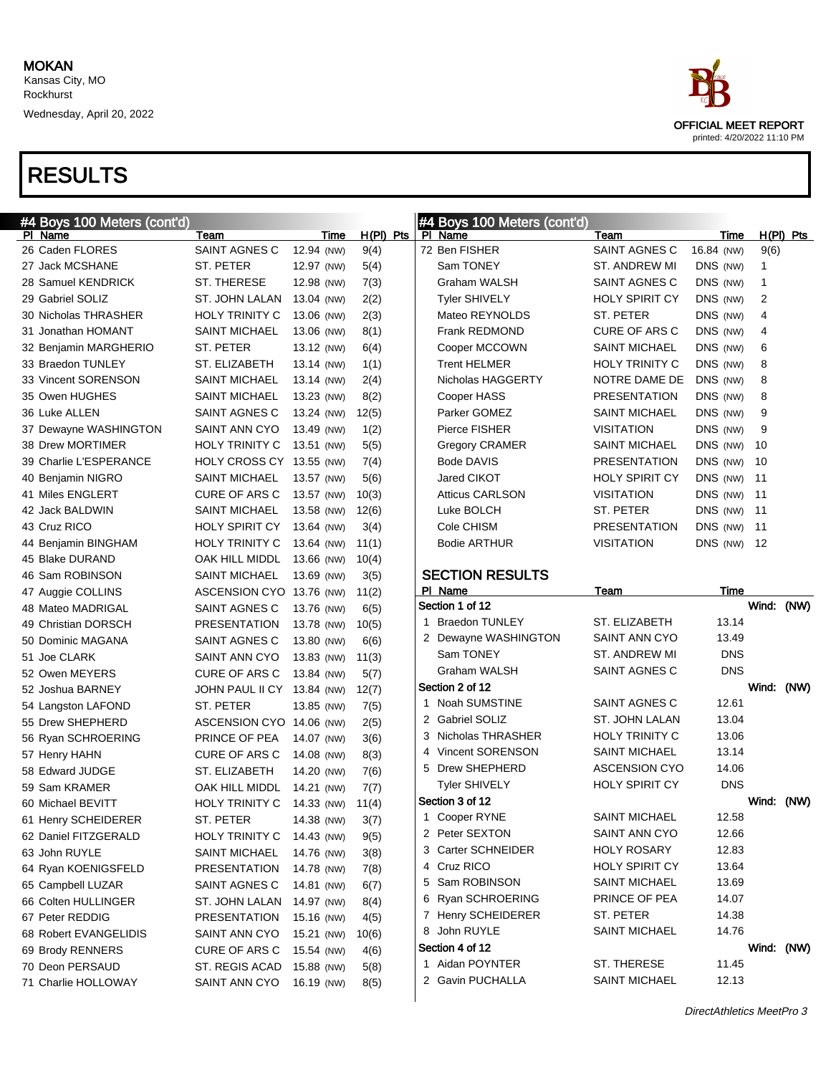

| #4 Boys 100 Meters (cont'd) |                            |            |             | #4 Boys 100 Meters (cont'd) |                       |             |             |  |
|-----------------------------|----------------------------|------------|-------------|-----------------------------|-----------------------|-------------|-------------|--|
| PI Name                     | Team                       | Time       | $H(PI)$ Pts | PI Name                     | Team                  | Time        | $H(PI)$ Pts |  |
| 26 Caden FLORES             | SAINT AGNES C              | 12.94 (NW) | 9(4)        | 72 Ben FISHER               | <b>SAINT AGNES C</b>  | 16.84 (NW)  | 9(6)        |  |
| 27 Jack MCSHANE             | ST. PETER                  | 12.97 (NW) | 5(4)        | Sam TONEY                   | ST. ANDREW MI         | DNS (NW)    | 1           |  |
| 28 Samuel KENDRICK          | ST. THERESE                | 12.98 (NW) | 7(3)        | Graham WALSH                | SAINT AGNES C         | DNS (NW)    | 1           |  |
| 29 Gabriel SOLIZ            | ST. JOHN LALAN             | 13.04 (NW) | 2(2)        | <b>Tyler SHIVELY</b>        | <b>HOLY SPIRIT CY</b> | DNS (NW)    | 2           |  |
| 30 Nicholas THRASHER        | <b>HOLY TRINITY C</b>      | 13.06 (NW) | 2(3)        | Mateo REYNOLDS              | ST. PETER             | DNS (NW)    | 4           |  |
| 31 Jonathan HOMANT          | <b>SAINT MICHAEL</b>       | 13.06 (NW) | 8(1)        | Frank REDMOND               | <b>CURE OF ARS C</b>  | DNS (NW)    | 4           |  |
| 32 Benjamin MARGHERIO       | ST. PETER                  | 13.12 (NW) | 6(4)        | Cooper MCCOWN               | <b>SAINT MICHAEL</b>  | DNS (NW)    | 6           |  |
| 33 Braedon TUNLEY           | ST. ELIZABETH              | 13.14 (NW) | 1(1)        | <b>Trent HELMER</b>         | <b>HOLY TRINITY C</b> | DNS (NW)    | 8           |  |
| 33 Vincent SORENSON         | <b>SAINT MICHAEL</b>       | 13.14 (NW) | 2(4)        | Nicholas HAGGERTY           | NOTRE DAME DE         | DNS (NW)    | 8           |  |
| 35 Owen HUGHES              | <b>SAINT MICHAEL</b>       | 13.23 (NW) | 8(2)        | Cooper HASS                 | <b>PRESENTATION</b>   | DNS (NW)    | 8           |  |
| 36 Luke ALLEN               | SAINT AGNES C              | 13.24 (NW) | 12(5)       | Parker GOMEZ                | <b>SAINT MICHAEL</b>  | DNS (NW)    | 9           |  |
| 37 Dewayne WASHINGTON       | SAINT ANN CYO              | 13.49 (NW) | 1(2)        | Pierce FISHER               | <b>VISITATION</b>     | DNS (NW)    | 9           |  |
| 38 Drew MORTIMER            | <b>HOLY TRINITY C</b>      | 13.51 (NW) | 5(5)        | <b>Gregory CRAMER</b>       | SAINT MICHAEL         | DNS (NW)    | 10          |  |
| 39 Charlie L'ESPERANCE      | HOLY CROSS CY 13.55 (NW)   |            | 7(4)        | Bode DAVIS                  | <b>PRESENTATION</b>   | DNS (NW)    | - 10        |  |
| 40 Benjamin NIGRO           | <b>SAINT MICHAEL</b>       | 13.57 (NW) | 5(6)        | Jared CIKOT                 | <b>HOLY SPIRIT CY</b> | DNS (NW) 11 |             |  |
| 41 Miles ENGLERT            | <b>CURE OF ARS C</b>       | 13.57 (NW) | 10(3)       | <b>Atticus CARLSON</b>      | <b>VISITATION</b>     | DNS (NW) 11 |             |  |
| 42 Jack BALDWIN             | <b>SAINT MICHAEL</b>       | 13.58 (NW) | 12(6)       | Luke BOLCH                  | <b>ST. PETER</b>      | DNS (NW) 11 |             |  |
| 43 Cruz RICO                | <b>HOLY SPIRIT CY</b>      | 13.64 (NW) | 3(4)        | Cole CHISM                  | <b>PRESENTATION</b>   | DNS (NW)    | $-11$       |  |
| 44 Benjamin BINGHAM         | <b>HOLY TRINITY C</b>      | 13.64 (NW) | 11(1)       | <b>Bodie ARTHUR</b>         | <b>VISITATION</b>     | DNS (NW) 12 |             |  |
| 45 Blake DURAND             | OAK HILL MIDDL             | 13.66 (NW) | 10(4)       |                             |                       |             |             |  |
| 46 Sam ROBINSON             | <b>SAINT MICHAEL</b>       | 13.69 (NW) | 3(5)        | <b>SECTION RESULTS</b>      |                       |             |             |  |
| 47 Auggie COLLINS           | ASCENSION CYO 13.76 (NW)   |            | 11(2)       | PI Name                     | Team                  | Time        |             |  |
| 48 Mateo MADRIGAL           | SAINT AGNES C              | 13.76 (NW) | 6(5)        | Section 1 of 12             |                       |             | Wind: (NW)  |  |
| 49 Christian DORSCH         | <b>PRESENTATION</b>        | 13.78 (NW) | 10(5)       | <b>Braedon TUNLEY</b><br>1. | ST. ELIZABETH         | 13.14       |             |  |
| 50 Dominic MAGANA           | SAINT AGNES C              | 13.80 (NW) | 6(6)        | 2 Dewayne WASHINGTON        | SAINT ANN CYO         | 13.49       |             |  |
| 51 Joe CLARK                | SAINT ANN CYO              | 13.83 (NW) | 11(3)       | Sam TONEY                   | ST. ANDREW MI         | <b>DNS</b>  |             |  |
| 52 Owen MEYERS              | <b>CURE OF ARS C</b>       | 13.84 (NW) | 5(7)        | Graham WALSH                | SAINT AGNES C         | <b>DNS</b>  |             |  |
| 52 Joshua BARNEY            | JOHN PAUL II CY 13.84 (NW) |            | 12(7)       | Section 2 of 12             |                       |             | Wind: (NW)  |  |
| 54 Langston LAFOND          | ST. PETER                  | 13.85 (NW) | 7(5)        | 1 Noah SUMSTINE             | SAINT AGNES C         | 12.61       |             |  |
| 55 Drew SHEPHERD            | ASCENSION CYO 14.06 (NW)   |            | 2(5)        | 2 Gabriel SOLIZ             | ST. JOHN LALAN        | 13.04       |             |  |
| 56 Ryan SCHROERING          | PRINCE OF PEA              | 14.07 (NW) | 3(6)        | 3 Nicholas THRASHER         | HOLY TRINITY C        | 13.06       |             |  |
| 57 Henry HAHN               | CURE OF ARS C              | 14.08 (NW) | 8(3)        | 4 Vincent SORENSON          | <b>SAINT MICHAEL</b>  | 13.14       |             |  |
| 58 Edward JUDGE             | ST. ELIZABETH              | 14.20 (NW) | 7(6)        | Drew SHEPHERD               | <b>ASCENSION CYO</b>  | 14.06       |             |  |
| 59 Sam KRAMER               | OAK HILL MIDDL             | 14.21 (NW) | 7(7)        | <b>Tyler SHIVELY</b>        | HOLY SPIRIT CY        | <b>DNS</b>  |             |  |
| 60 Michael BEVITT           | <b>HOLY TRINITY C</b>      | 14.33 (NW) | 11(4)       | Section 3 of 12             |                       |             | Wind: (NW)  |  |
| 61 Henry SCHEIDERER         | ST. PETER                  | 14.38 (NW) | 3(7)        | 1 Cooper RYNE               | <b>SAINT MICHAEL</b>  | 12.58       |             |  |
| 62 Daniel FITZGERALD        | HOLY TRINITY C 14.43 (NW)  |            | 9(5)        | 2 Peter SEXTON              | SAINT ANN CYO         | 12.66       |             |  |
| 63 John RUYLE               | <b>SAINT MICHAEL</b>       | 14.76 (NW) | 3(8)        | 3 Carter SCHNEIDER          | <b>HOLY ROSARY</b>    | 12.83       |             |  |
| 64 Ryan KOENIGSFELD         | PRESENTATION               | 14.78 (NW) | 7(8)        | 4 Cruz RICO                 | <b>HOLY SPIRIT CY</b> | 13.64       |             |  |
| 65 Campbell LUZAR           | SAINT AGNES C              | 14.81 (NW) | 6(7)        | 5 Sam ROBINSON              | <b>SAINT MICHAEL</b>  | 13.69       |             |  |
| 66 Colten HULLINGER         | ST. JOHN LALAN             | 14.97 (NW) | 8(4)        | 6 Ryan SCHROERING           | PRINCE OF PEA         | 14.07       |             |  |
| 67 Peter REDDIG             | PRESENTATION               | 15.16 (NW) | 4(5)        | 7 Henry SCHEIDERER          | ST. PETER             | 14.38       |             |  |
| 68 Robert EVANGELIDIS       | SAINT ANN CYO              | 15.21 (NW) | 10(6)       | 8 John RUYLE                | <b>SAINT MICHAEL</b>  | 14.76       |             |  |
| 69 Brody RENNERS            | CURE OF ARS C              | 15.54 (NW) | 4(6)        | Section 4 of 12             |                       |             | Wind: (NW)  |  |
| 70 Deon PERSAUD             | ST. REGIS ACAD             | 15.88 (NW) | 5(8)        | 1 Aidan POYNTER             | ST. THERESE           | 11.45       |             |  |
| 71 Charlie HOLLOWAY         | SAINT ANN CYO              | 16.19 (NW) | 8(5)        | 2 Gavin PUCHALLA            | <b>SAINT MICHAEL</b>  | 12.13       |             |  |
|                             |                            |            |             |                             |                       |             |             |  |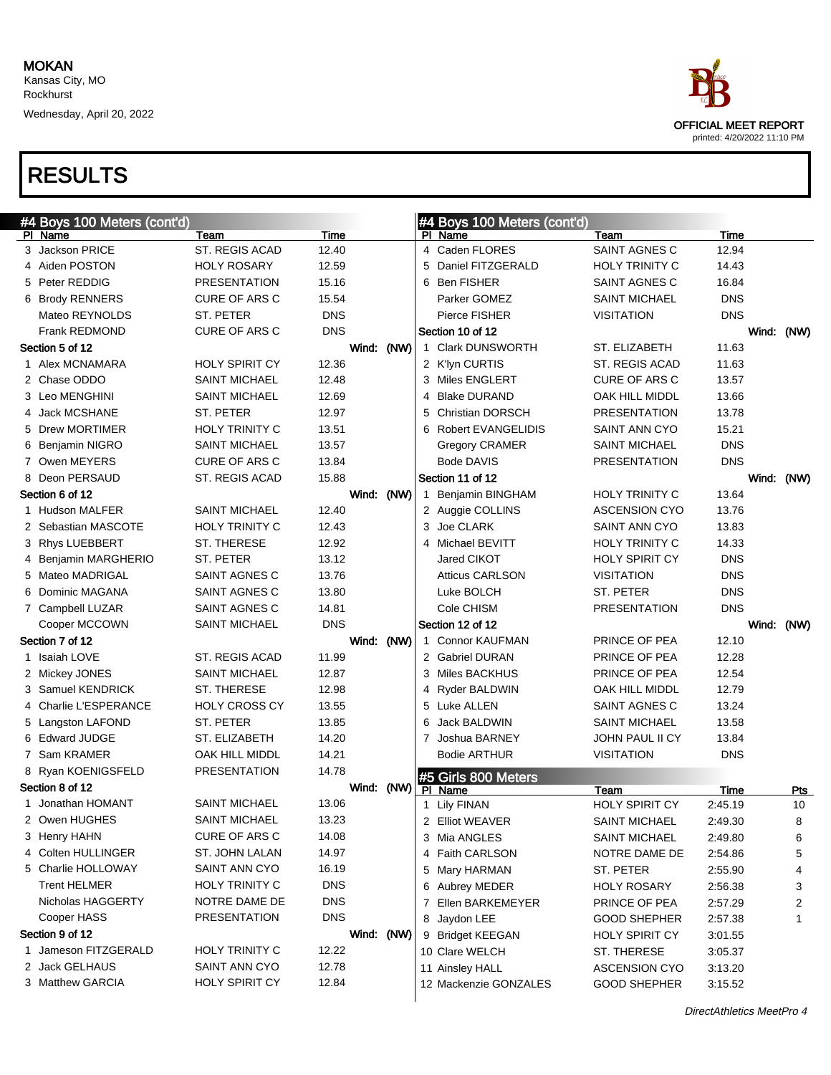Wednesday, April 20, 2022



| #4 Boys 100 Meters (cont'd) |                       |            |   | #4 Boys 100 Meters (cont'd) |                        |            |            |
|-----------------------------|-----------------------|------------|---|-----------------------------|------------------------|------------|------------|
| PI Name                     | Team                  | Time       |   | PI Name                     | Team                   | Time       |            |
| 3 Jackson PRICE             | ST. REGIS ACAD        | 12.40      |   | 4 Caden FLORES              | SAINT AGNES C          | 12.94      |            |
| 4 Aiden POSTON              | <b>HOLY ROSARY</b>    | 12.59      |   | 5 Daniel FITZGERALD         | HOLY TRINITY C         | 14.43      |            |
| 5 Peter REDDIG              | <b>PRESENTATION</b>   | 15.16      |   | 6 Ben FISHER                | SAINT AGNES C          | 16.84      |            |
| 6 Brody RENNERS             | CURE OF ARS C         | 15.54      |   | Parker GOMEZ                | <b>SAINT MICHAEL</b>   | <b>DNS</b> |            |
| Mateo REYNOLDS              | ST. PETER             | <b>DNS</b> |   | Pierce FISHER               | <b>VISITATION</b>      | <b>DNS</b> |            |
| <b>Frank REDMOND</b>        | CURE OF ARS C         | <b>DNS</b> |   | Section 10 of 12            |                        |            | Wind: (NW) |
| Section 5 of 12             |                       | Wind: (NW) |   | 1 Clark DUNSWORTH           | ST. ELIZABETH          | 11.63      |            |
| 1 Alex MCNAMARA             | <b>HOLY SPIRIT CY</b> | 12.36      |   | 2 K'lyn CURTIS              | <b>ST. REGIS ACAD</b>  | 11.63      |            |
| 2 Chase ODDO                | <b>SAINT MICHAEL</b>  | 12.48      |   | 3 Miles ENGLERT             | <b>CURE OF ARS C</b>   | 13.57      |            |
| 3 Leo MENGHINI              | <b>SAINT MICHAEL</b>  | 12.69      |   | 4 Blake DURAND              | OAK HILL MIDDL         | 13.66      |            |
| 4 Jack MCSHANE              | ST. PETER             | 12.97      | 5 | <b>Christian DORSCH</b>     | <b>PRESENTATION</b>    | 13.78      |            |
| 5 Drew MORTIMER             | HOLY TRINITY C        | 13.51      |   | 6 Robert EVANGELIDIS        | SAINT ANN CYO          | 15.21      |            |
| 6 Benjamin NIGRO            | <b>SAINT MICHAEL</b>  | 13.57      |   | <b>Gregory CRAMER</b>       | SAINT MICHAEL          | <b>DNS</b> |            |
| 7 Owen MEYERS               | CURE OF ARS C         | 13.84      |   | <b>Bode DAVIS</b>           | <b>PRESENTATION</b>    | <b>DNS</b> |            |
| 8 Deon PERSAUD              | ST. REGIS ACAD        | 15.88      |   | Section 11 of 12            |                        |            | Wind: (NW) |
| Section 6 of 12             |                       | Wind: (NW) |   | 1 Benjamin BINGHAM          | HOLY TRINITY C         | 13.64      |            |
| 1 Hudson MALFER             | <b>SAINT MICHAEL</b>  | 12.40      |   | 2 Auggie COLLINS            | <b>ASCENSION CYO</b>   | 13.76      |            |
| 2 Sebastian MASCOTE         | <b>HOLY TRINITY C</b> | 12.43      |   | 3 Joe CLARK                 | <b>SAINT ANN CYO</b>   | 13.83      |            |
| 3 Rhys LUEBBERT             | ST. THERESE           | 12.92      |   | 4 Michael BEVITT            | HOLY TRINITY C         | 14.33      |            |
| 4 Benjamin MARGHERIO        | ST. PETER             | 13.12      |   | Jared CIKOT                 | <b>HOLY SPIRIT CY</b>  | <b>DNS</b> |            |
| 5 Mateo MADRIGAL            | SAINT AGNES C         | 13.76      |   | <b>Atticus CARLSON</b>      | <b>VISITATION</b>      | <b>DNS</b> |            |
| 6 Dominic MAGANA            | SAINT AGNES C         | 13.80      |   | Luke BOLCH                  | ST. PETER              | <b>DNS</b> |            |
| 7 Campbell LUZAR            | SAINT AGNES C         | 14.81      |   | Cole CHISM                  | <b>PRESENTATION</b>    | <b>DNS</b> |            |
| Cooper MCCOWN               | <b>SAINT MICHAEL</b>  | <b>DNS</b> |   | Section 12 of 12            |                        |            | Wind: (NW) |
| Section 7 of 12             |                       | Wind: (NW) |   | 1 Connor KAUFMAN            | PRINCE OF PEA          | 12.10      |            |
| 1 Isaiah LOVE               | ST. REGIS ACAD        | 11.99      |   | 2 Gabriel DURAN             | PRINCE OF PEA          | 12.28      |            |
| 2 Mickey JONES              | <b>SAINT MICHAEL</b>  | 12.87      |   | 3 Miles BACKHUS             | PRINCE OF PEA          | 12.54      |            |
| 3 Samuel KENDRICK           | ST. THERESE           | 12.98      |   | 4 Ryder BALDWIN             | OAK HILL MIDDL         | 12.79      |            |
| 4 Charlie L'ESPERANCE       | <b>HOLY CROSS CY</b>  | 13.55      |   | 5 Luke ALLEN                | SAINT AGNES C          | 13.24      |            |
| 5 Langston LAFOND           | ST. PETER             | 13.85      | 6 | Jack BALDWIN                | <b>SAINT MICHAEL</b>   | 13.58      |            |
| 6 Edward JUDGE              | ST. ELIZABETH         | 14.20      |   | 7 Joshua BARNEY             | <b>JOHN PAUL II CY</b> | 13.84      |            |
| 7 Sam KRAMER                | OAK HILL MIDDL        | 14.21      |   | <b>Bodie ARTHUR</b>         | <b>VISITATION</b>      | <b>DNS</b> |            |
| 8 Ryan KOENIGSFELD          | <b>PRESENTATION</b>   | 14.78      |   | #5 Girls 800 Meters         |                        |            |            |
| Section 8 of 12             |                       | Wind: (NW) |   | PI Name                     | Team                   | Time       | <u>Pts</u> |
| 1 Jonathan HOMANT           | <b>SAINT MICHAEL</b>  | 13.06      |   | 1 Lily FINAN                | <b>HOLY SPIRIT CY</b>  | 2:45.19    | 10         |
| 2   Owen HUGHES             | <b>SAINT MICHAEL</b>  | 13.23      |   | 2 Elliot WEAVER             | <b>SAINT MICHAEL</b>   | 2:49.30    | 8          |
| 3 Henry HAHN                | CURE OF ARS C         | 14.08      |   | 3 Mia ANGLES                | <b>SAINT MICHAEL</b>   | 2:49.80    | 6          |
| 4 Colten HULLINGER          | ST. JOHN LALAN        | 14.97      |   | 4 Faith CARLSON             | NOTRE DAME DE          | 2:54.86    | 5          |
| 5 Charlie HOLLOWAY          | SAINT ANN CYO         | 16.19      |   | 5 Mary HARMAN               | ST. PETER              | 2:55.90    | 4          |
| <b>Trent HELMER</b>         | HOLY TRINITY C        | <b>DNS</b> |   | 6 Aubrey MEDER              | <b>HOLY ROSARY</b>     | 2:56.38    | 3          |
| Nicholas HAGGERTY           | NOTRE DAME DE         | <b>DNS</b> |   | 7 Ellen BARKEMEYER          | PRINCE OF PEA          | 2:57.29    | 2          |
| Cooper HASS                 | <b>PRESENTATION</b>   | <b>DNS</b> |   | 8 Jaydon LEE                | <b>GOOD SHEPHER</b>    | 2:57.38    | 1          |
| Section 9 of 12             |                       | Wind: (NW) |   | 9 Bridget KEEGAN            | HOLY SPIRIT CY         | 3:01.55    |            |
| 1 Jameson FITZGERALD        | <b>HOLY TRINITY C</b> | 12.22      |   | 10 Clare WELCH              | ST. THERESE            | 3:05.37    |            |
| 2 Jack GELHAUS              | SAINT ANN CYO         | 12.78      |   | 11 Ainsley HALL             | <b>ASCENSION CYO</b>   | 3:13.20    |            |
| 3 Matthew GARCIA            | <b>HOLY SPIRIT CY</b> | 12.84      |   | 12 Mackenzie GONZALES       | <b>GOOD SHEPHER</b>    | 3:15.52    |            |
|                             |                       |            |   |                             |                        |            |            |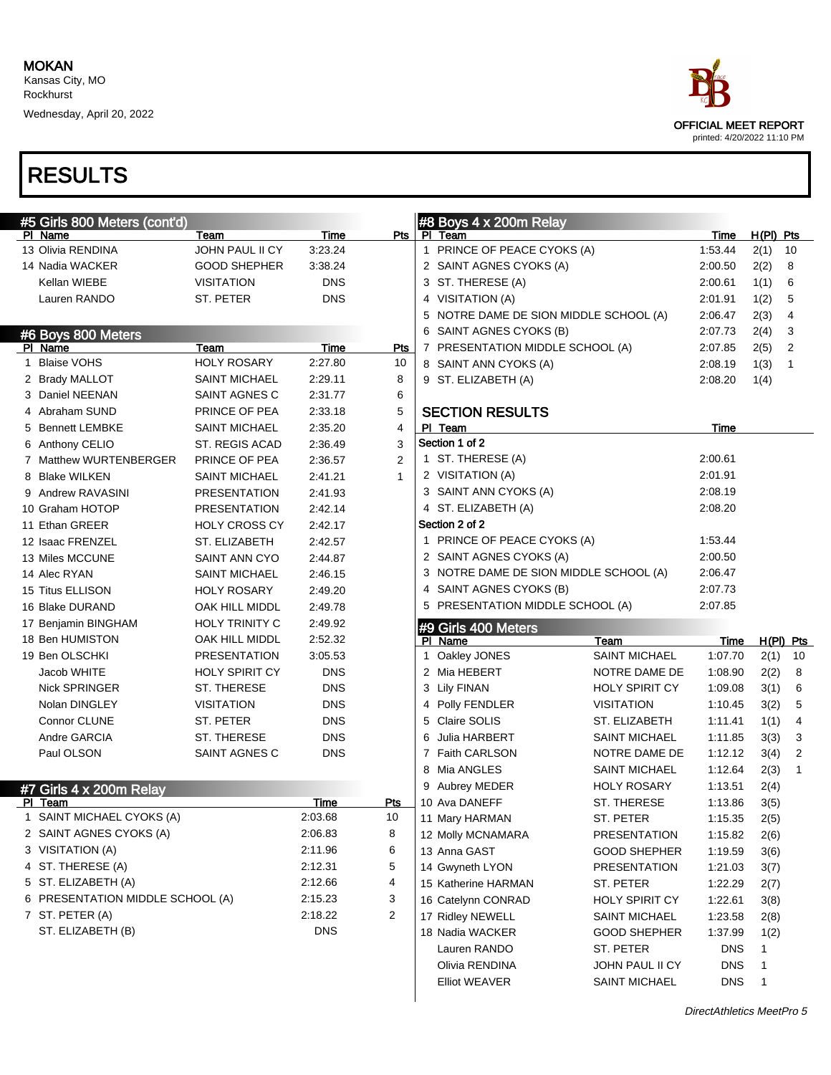Wednesday, April 20, 2022



| #5 Girls 800 Meters (cont'd)     |                       |            |                | #8 Boys 4 x 200m Relay                 |                       |            |              |                |
|----------------------------------|-----------------------|------------|----------------|----------------------------------------|-----------------------|------------|--------------|----------------|
| PI Name                          | Team                  | Time       | Pts            | PI Team                                |                       | Time       | $H(PI)$ Pts  |                |
| 13 Olivia RENDINA                | JOHN PAUL II CY       | 3:23.24    |                | 1 PRINCE OF PEACE CYOKS (A)            |                       | 1:53.44    | 2(1)         | 10             |
| 14 Nadia WACKER                  | <b>GOOD SHEPHER</b>   | 3:38.24    |                | 2 SAINT AGNES CYOKS (A)                |                       | 2:00.50    | 2(2)         | 8              |
| Kellan WIEBE                     | <b>VISITATION</b>     | <b>DNS</b> |                | 3 ST. THERESE (A)                      |                       | 2:00.61    | 1(1)         | 6              |
| Lauren RANDO                     | ST. PETER             | <b>DNS</b> |                | 4 VISITATION (A)                       |                       | 2:01.91    | 1(2)         | 5              |
|                                  |                       |            |                | 5 NOTRE DAME DE SION MIDDLE SCHOOL (A) |                       | 2:06.47    | 2(3)         | 4              |
| #6 Boys 800 Meters               |                       |            |                | 6 SAINT AGNES CYOKS (B)                |                       | 2:07.73    | 2(4)         | 3              |
| PI Name                          | Team                  | Time       | Pts            | 7 PRESENTATION MIDDLE SCHOOL (A)       |                       | 2:07.85    | 2(5)         | 2              |
| 1 Blaise VOHS                    | <b>HOLY ROSARY</b>    | 2:27.80    | 10             | 8 SAINT ANN CYOKS (A)                  |                       | 2:08.19    | 1(3)         | 1              |
| 2 Brady MALLOT                   | <b>SAINT MICHAEL</b>  | 2:29.11    | 8              | 9 ST. ELIZABETH (A)                    |                       | 2:08.20    | 1(4)         |                |
| 3 Daniel NEENAN                  | SAINT AGNES C         | 2:31.77    | 6              |                                        |                       |            |              |                |
| 4 Abraham SUND                   | PRINCE OF PEA         | 2:33.18    | 5              | <b>SECTION RESULTS</b>                 |                       |            |              |                |
| 5 Bennett LEMBKE                 | <b>SAINT MICHAEL</b>  | 2:35.20    | 4              | PI Team                                |                       | Time       |              |                |
| 6 Anthony CELIO                  | ST. REGIS ACAD        | 2:36.49    | 3              | Section 1 of 2                         |                       |            |              |                |
| 7 Matthew WURTENBERGER           | PRINCE OF PEA         | 2:36.57    | $\overline{2}$ | 1 ST. THERESE (A)                      |                       | 2:00.61    |              |                |
| 8 Blake WILKEN                   | <b>SAINT MICHAEL</b>  | 2:41.21    | $\mathbf{1}$   | 2 VISITATION (A)                       |                       | 2:01.91    |              |                |
| 9 Andrew RAVASINI                | <b>PRESENTATION</b>   | 2:41.93    |                | 3 SAINT ANN CYOKS (A)                  |                       | 2:08.19    |              |                |
| 10 Graham HOTOP                  | <b>PRESENTATION</b>   | 2:42.14    |                | 4 ST. ELIZABETH (A)                    |                       | 2:08.20    |              |                |
| 11 Ethan GREER                   | <b>HOLY CROSS CY</b>  | 2:42.17    |                | Section 2 of 2                         |                       |            |              |                |
| 12 Isaac FRENZEL                 | ST. ELIZABETH         | 2:42.57    |                | 1 PRINCE OF PEACE CYOKS (A)            |                       | 1:53.44    |              |                |
| 13 Miles MCCUNE                  | SAINT ANN CYO         | 2:44.87    |                | 2 SAINT AGNES CYOKS (A)                |                       | 2:00.50    |              |                |
| 14 Alec RYAN                     | <b>SAINT MICHAEL</b>  | 2:46.15    |                | 3 NOTRE DAME DE SION MIDDLE SCHOOL (A) |                       | 2:06.47    |              |                |
| 15 Titus ELLISON                 | <b>HOLY ROSARY</b>    | 2:49.20    |                | 4 SAINT AGNES CYOKS (B)                |                       | 2:07.73    |              |                |
| 16 Blake DURAND                  | OAK HILL MIDDL        | 2:49.78    |                | 5 PRESENTATION MIDDLE SCHOOL (A)       |                       | 2:07.85    |              |                |
| 17 Benjamin BINGHAM              | <b>HOLY TRINITY C</b> | 2:49.92    |                | #9 Girls 400 Meters                    |                       |            |              |                |
| 18 Ben HUMISTON                  | OAK HILL MIDDL        | 2:52.32    |                | PI Name                                | Team                  | Time       | H(PI) Pts    |                |
| 19 Ben OLSCHKI                   | <b>PRESENTATION</b>   | 3:05.53    |                | 1 Oakley JONES                         | SAINT MICHAEL         | 1:07.70    | 2(1)         | 10             |
|                                  |                       |            |                |                                        |                       |            |              | 8              |
| Jacob WHITE                      | <b>HOLY SPIRIT CY</b> | <b>DNS</b> |                | 2 Mia HEBERT                           | NOTRE DAME DE         | 1:08.90    | 2(2)         |                |
| <b>Nick SPRINGER</b>             | ST. THERESE           | <b>DNS</b> |                | 3 Lily FINAN                           | <b>HOLY SPIRIT CY</b> | 1:09.08    | 3(1)         | 6              |
| Nolan DINGLEY                    | <b>VISITATION</b>     | <b>DNS</b> |                | 4 Polly FENDLER                        | <b>VISITATION</b>     | 1:10.45    | 3(2)         | 5              |
| Connor CLUNE                     | ST. PETER             | <b>DNS</b> |                | 5 Claire SOLIS                         | ST. ELIZABETH         | 1:11.41    | 1(1)         | 4              |
| Andre GARCIA                     | ST. THERESE           | <b>DNS</b> |                | Julia HARBERT<br>6                     | SAINT MICHAEL         | 1:11.85    | 3(3)         | 3              |
| Paul OLSON                       | SAINT AGNES C         | <b>DNS</b> |                | 7 Faith CARLSON                        | NOTRE DAME DE         | 1:12.12    | 3(4)         | $\overline{2}$ |
|                                  |                       |            |                | 8 Mia ANGLES                           | SAINT MICHAEL         | 1:12.64    | 2(3)         | $\mathbf{1}$   |
| #7 Girls 4 x 200m Relay          |                       |            |                | Aubrey MEDER<br>9                      | <b>HOLY ROSARY</b>    | 1:13.51    | 2(4)         |                |
| PI Team                          |                       | Time       | Pts            | 10 Ava DANEFF                          | ST. THERESE           | 1:13.86    | 3(5)         |                |
| 1 SAINT MICHAEL CYOKS (A)        |                       | 2:03.68    | 10             | 11 Mary HARMAN                         | ST. PETER             | 1:15.35    | 2(5)         |                |
| 2 SAINT AGNES CYOKS (A)          |                       | 2:06.83    | 8              | 12 Molly MCNAMARA                      | <b>PRESENTATION</b>   | 1:15.82    | 2(6)         |                |
| 3 VISITATION (A)                 |                       | 2:11.96    | 6              | 13 Anna GAST                           | <b>GOOD SHEPHER</b>   | 1:19.59    | 3(6)         |                |
| 4 ST. THERESE (A)                |                       | 2:12.31    | 5              | 14 Gwyneth LYON                        | <b>PRESENTATION</b>   | 1:21.03    | 3(7)         |                |
| 5 ST. ELIZABETH (A)              |                       | 2:12.66    | 4              | 15 Katherine HARMAN                    | ST. PETER             | 1:22.29    | 2(7)         |                |
| 6 PRESENTATION MIDDLE SCHOOL (A) |                       | 2:15.23    | 3              | 16 Catelynn CONRAD                     | <b>HOLY SPIRIT CY</b> | 1:22.61    | 3(8)         |                |
| 7 ST. PETER (A)                  |                       | 2:18.22    | $\overline{2}$ | 17 Ridley NEWELL                       | <b>SAINT MICHAEL</b>  | 1:23.58    | 2(8)         |                |
| ST. ELIZABETH (B)                |                       | <b>DNS</b> |                | 18 Nadia WACKER                        | <b>GOOD SHEPHER</b>   | 1:37.99    | 1(2)         |                |
|                                  |                       |            |                | Lauren RANDO                           | ST. PETER             | <b>DNS</b> | 1            |                |
|                                  |                       |            |                | Olivia RENDINA                         | JOHN PAUL II CY       | <b>DNS</b> | 1            |                |
|                                  |                       |            |                | <b>Elliot WEAVER</b>                   | <b>SAINT MICHAEL</b>  | <b>DNS</b> | $\mathbf{1}$ |                |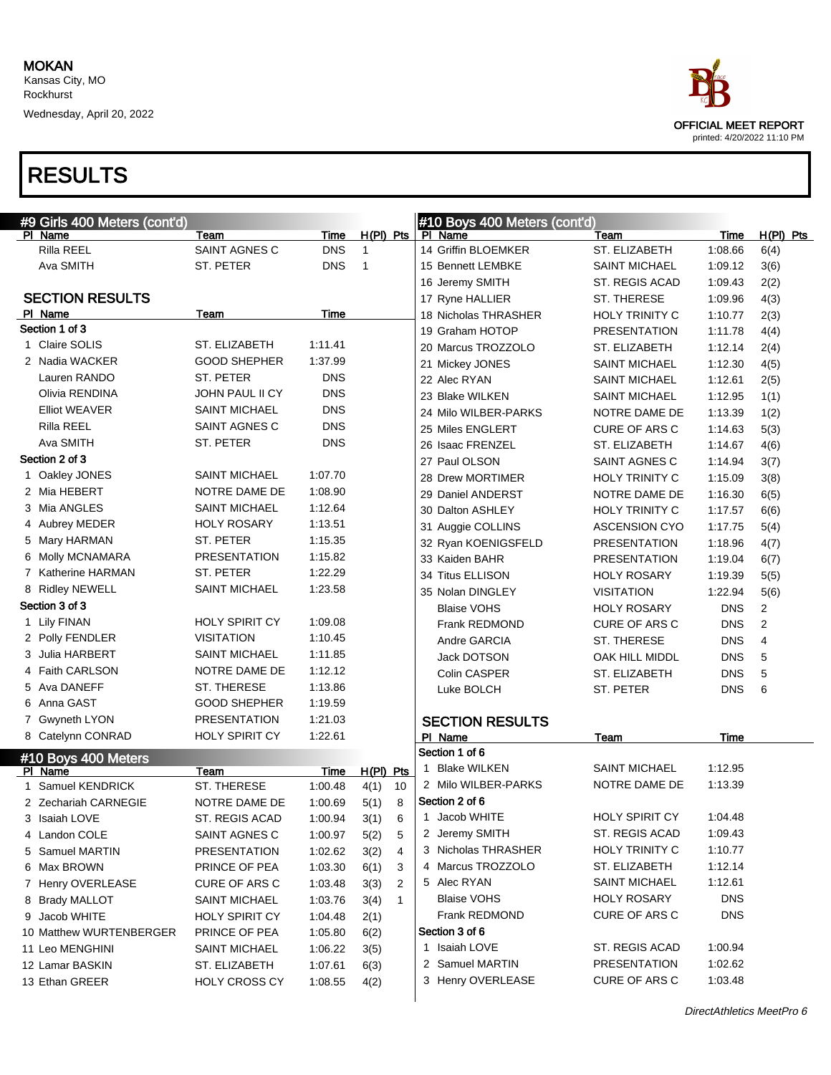

| #9 Girls 400 Meters (cont'd) |                       |            |                |              | #10 Boys 400 Meters (cont'd) |                       |            |                |
|------------------------------|-----------------------|------------|----------------|--------------|------------------------------|-----------------------|------------|----------------|
| PI Name                      | Team                  | Time       | $H(PI)$ Pts    |              | PI Name                      | Team                  | Time       | $H(PI)$ Pts    |
| Rilla REEL                   | SAINT AGNES C         | <b>DNS</b> | $\mathbf{1}$   |              | 14 Griffin BLOEMKER          | ST. ELIZABETH         | 1:08.66    | 6(4)           |
| Ava SMITH                    | ST. PETER             | <b>DNS</b> | $\overline{1}$ |              | 15 Bennett LEMBKE            | <b>SAINT MICHAEL</b>  | 1:09.12    | 3(6)           |
|                              |                       |            |                |              | 16 Jeremy SMITH              | ST. REGIS ACAD        | 1:09.43    | 2(2)           |
| <b>SECTION RESULTS</b>       |                       |            |                |              | 17 Ryne HALLIER              | ST. THERESE           | 1:09.96    | 4(3)           |
| PI Name                      | Team                  | Time       |                |              | 18 Nicholas THRASHER         | HOLY TRINITY C        | 1:10.77    | 2(3)           |
| Section 1 of 3               |                       |            |                |              | 19 Graham HOTOP              | <b>PRESENTATION</b>   | 1:11.78    | 4(4)           |
| 1 Claire SOLIS               | ST. ELIZABETH         | 1:11.41    |                |              | 20 Marcus TROZZOLO           | ST. ELIZABETH         | 1:12.14    | 2(4)           |
| 2 Nadia WACKER               | <b>GOOD SHEPHER</b>   | 1:37.99    |                |              | 21 Mickey JONES              | <b>SAINT MICHAEL</b>  | 1:12.30    | 4(5)           |
| Lauren RANDO                 | ST. PETER             | <b>DNS</b> |                |              | 22 Alec RYAN                 | <b>SAINT MICHAEL</b>  | 1:12.61    | 2(5)           |
| Olivia RENDINA               | JOHN PAUL II CY       | <b>DNS</b> |                |              | 23 Blake WILKEN              | <b>SAINT MICHAEL</b>  | 1:12.95    | 1(1)           |
| <b>Elliot WEAVER</b>         | <b>SAINT MICHAEL</b>  | <b>DNS</b> |                |              | 24 Milo WILBER-PARKS         | NOTRE DAME DE         | 1:13.39    | 1(2)           |
| Rilla REEL                   | SAINT AGNES C         | <b>DNS</b> |                |              | 25 Miles ENGLERT             | CURE OF ARS C         | 1:14.63    | 5(3)           |
| Ava SMITH                    | ST. PETER             | <b>DNS</b> |                |              | 26 Isaac FRENZEL             | ST. ELIZABETH         | 1:14.67    | 4(6)           |
| Section 2 of 3               |                       |            |                |              | 27 Paul OLSON                | SAINT AGNES C         | 1:14.94    | 3(7)           |
| 1 Oakley JONES               | <b>SAINT MICHAEL</b>  | 1:07.70    |                |              | 28 Drew MORTIMER             | HOLY TRINITY C        | 1:15.09    | 3(8)           |
| 2 Mia HEBERT                 | NOTRE DAME DE         | 1:08.90    |                |              | 29 Daniel ANDERST            | NOTRE DAME DE         | 1:16.30    | 6(5)           |
| 3 Mia ANGLES                 | <b>SAINT MICHAEL</b>  | 1:12.64    |                |              | 30 Dalton ASHLEY             | HOLY TRINITY C        | 1:17.57    | 6(6)           |
| 4 Aubrey MEDER               | <b>HOLY ROSARY</b>    | 1:13.51    |                |              | 31 Auggie COLLINS            | <b>ASCENSION CYO</b>  | 1:17.75    | 5(4)           |
| 5 Mary HARMAN                | ST. PETER             | 1:15.35    |                |              | 32 Ryan KOENIGSFELD          | <b>PRESENTATION</b>   | 1:18.96    | 4(7)           |
| 6 Molly MCNAMARA             | <b>PRESENTATION</b>   | 1:15.82    |                |              | 33 Kaiden BAHR               | <b>PRESENTATION</b>   | 1:19.04    | 6(7)           |
| 7 Katherine HARMAN           | ST. PETER             | 1:22.29    |                |              | 34 Titus ELLISON             | <b>HOLY ROSARY</b>    | 1:19.39    | 5(5)           |
| 8 Ridley NEWELL              | <b>SAINT MICHAEL</b>  | 1:23.58    |                |              | 35 Nolan DINGLEY             | <b>VISITATION</b>     | 1:22.94    | 5(6)           |
| Section 3 of 3               |                       |            |                |              | <b>Blaise VOHS</b>           | <b>HOLY ROSARY</b>    | <b>DNS</b> | $\overline{2}$ |
| 1 Lily FINAN                 | <b>HOLY SPIRIT CY</b> | 1:09.08    |                |              | Frank REDMOND                | CURE OF ARS C         | <b>DNS</b> | $\mathbf{2}$   |
| 2 Polly FENDLER              | <b>VISITATION</b>     | 1:10.45    |                |              | Andre GARCIA                 | ST. THERESE           | <b>DNS</b> | $\overline{4}$ |
| 3 Julia HARBERT              | <b>SAINT MICHAEL</b>  | 1:11.85    |                |              | Jack DOTSON                  | OAK HILL MIDDL        | <b>DNS</b> | 5              |
| 4 Faith CARLSON              | NOTRE DAME DE         | 1:12.12    |                |              | Colin CASPER                 | ST. ELIZABETH         | <b>DNS</b> | 5              |
| 5 Ava DANEFF                 | ST. THERESE           | 1:13.86    |                |              | Luke BOLCH                   | ST. PETER             | <b>DNS</b> | 6              |
| 6 Anna GAST                  | <b>GOOD SHEPHER</b>   | 1:19.59    |                |              |                              |                       |            |                |
| 7 Gwyneth LYON               | <b>PRESENTATION</b>   | 1:21.03    |                |              | <b>SECTION RESULTS</b>       |                       |            |                |
| 8 Catelynn CONRAD            | <b>HOLY SPIRIT CY</b> | 1:22.61    |                |              | PI Name                      | Team                  | Time       |                |
| #10 Boys 400 Meters          |                       |            |                |              | Section 1 of 6               |                       |            |                |
| PI Name                      | Team                  | Time       | H(PI) Pts      |              | 1 Blake WILKEN               | <b>SAINT MICHAEL</b>  | 1:12.95    |                |
| 1 Samuel KENDRICK            | ST. THERESE           | 1:00.48    | 4(1)           | 10           | 2 Milo WILBER-PARKS          | NOTRE DAME DE         | 1:13.39    |                |
| 2 Zechariah CARNEGIE         | NOTRE DAME DE         | 1:00.69    | 5(1)           | 8            | Section 2 of 6               |                       |            |                |
| 3 Isaiah LOVE                | ST. REGIS ACAD        | 1:00.94    | 3(1)           | 6            | 1 Jacob WHITE                | <b>HOLY SPIRIT CY</b> | 1:04.48    |                |
| 4 Landon COLE                | SAINT AGNES C         | 1:00.97    | 5(2)           | 5            | 2 Jeremy SMITH               | ST. REGIS ACAD        | 1:09.43    |                |
| 5 Samuel MARTIN              | <b>PRESENTATION</b>   | 1:02.62    | 3(2)           | 4            | 3 Nicholas THRASHER          | HOLY TRINITY C        | 1:10.77    |                |
| 6 Max BROWN                  | PRINCE OF PEA         | 1:03.30    | 6(1)           | 3            | 4 Marcus TROZZOLO            | ST. ELIZABETH         | 1:12.14    |                |
| 7 Henry OVERLEASE            | <b>CURE OF ARS C</b>  | 1:03.48    | 3(3)           | 2            | 5 Alec RYAN                  | <b>SAINT MICHAEL</b>  | 1:12.61    |                |
| 8 Brady MALLOT               | <b>SAINT MICHAEL</b>  | 1:03.76    | 3(4)           | $\mathbf{1}$ | Blaise VOHS                  | <b>HOLY ROSARY</b>    | <b>DNS</b> |                |
| 9 Jacob WHITE                | <b>HOLY SPIRIT CY</b> | 1:04.48    | 2(1)           |              | Frank REDMOND                | <b>CURE OF ARS C</b>  | <b>DNS</b> |                |
| 10 Matthew WURTENBERGER      | PRINCE OF PEA         | 1:05.80    | 6(2)           |              | Section 3 of 6               |                       |            |                |
| 11 Leo MENGHINI              | <b>SAINT MICHAEL</b>  | 1:06.22    | 3(5)           |              | 1 Isaiah LOVE                | ST. REGIS ACAD        | 1:00.94    |                |
| 12 Lamar BASKIN              | ST. ELIZABETH         | 1:07.61    | 6(3)           |              | 2 Samuel MARTIN              | <b>PRESENTATION</b>   | 1:02.62    |                |
| 13 Ethan GREER               | <b>HOLY CROSS CY</b>  | 1:08.55    | 4(2)           |              | 3 Henry OVERLEASE            | CURE OF ARS C         | 1:03.48    |                |
|                              |                       |            |                |              |                              |                       |            |                |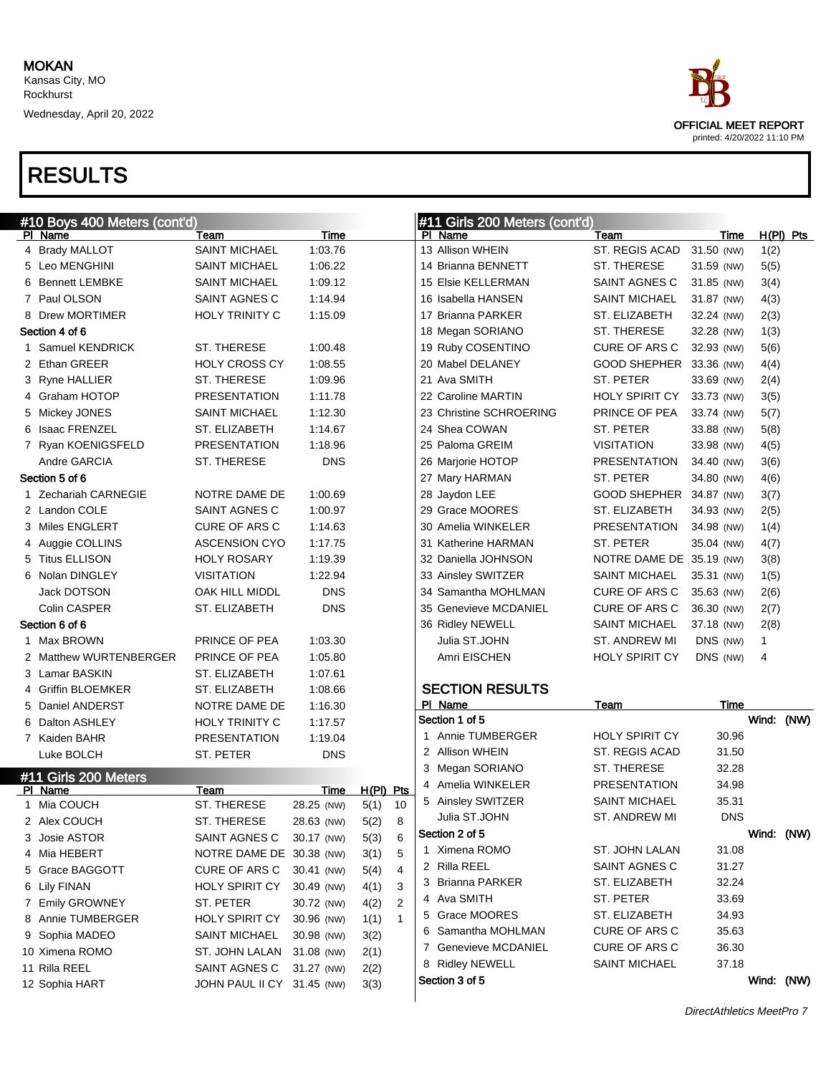Wednesday, April 20, 2022



#### RESULTS

| #10 Boys 400 Meters (cont'd) |                            |            |             | #11 Girls 200 Meters (cont'd) |  |                         |                          |            |      |             |
|------------------------------|----------------------------|------------|-------------|-------------------------------|--|-------------------------|--------------------------|------------|------|-------------|
| PI Name                      | Team                       | Time       |             |                               |  | PI Name                 | Team                     | Time       |      | $H(PI)$ Pts |
| 4 Brady MALLOT               | <b>SAINT MICHAEL</b>       | 1:03.76    |             |                               |  | 13 Allison WHEIN        | ST. REGIS ACAD           | 31.50 (NW) | 1(2) |             |
| 5 Leo MENGHINI               | <b>SAINT MICHAEL</b>       | 1:06.22    |             |                               |  | 14 Brianna BENNETT      | ST. THERESE              | 31.59 (NW) | 5(5) |             |
| 6 Bennett LEMBKE             | <b>SAINT MICHAEL</b>       | 1:09.12    |             |                               |  | 15 Elsie KELLERMAN      | SAINT AGNES C            | 31.85 (NW) | 3(4) |             |
| 7 Paul OLSON                 | SAINT AGNES C              | 1:14.94    |             |                               |  | 16 Isabella HANSEN      | SAINT MICHAEL            | 31.87 (NW) | 4(3) |             |
| 8 Drew MORTIMER              | HOLY TRINITY C             | 1:15.09    |             |                               |  | 17 Brianna PARKER       | ST. ELIZABETH            | 32.24 (NW) | 2(3) |             |
| Section 4 of 6               |                            |            |             |                               |  | 18 Megan SORIANO        | ST. THERESE              | 32.28 (NW) | 1(3) |             |
| 1 Samuel KENDRICK            | ST. THERESE                | 1:00.48    |             |                               |  | 19 Ruby COSENTINO       | CURE OF ARS C            | 32.93 (NW) | 5(6) |             |
| 2 Ethan GREER                | <b>HOLY CROSS CY</b>       | 1:08.55    |             |                               |  | 20 Mabel DELANEY        | GOOD SHEPHER 33.36 (NW)  |            | 4(4) |             |
| 3 Ryne HALLIER               | ST. THERESE                | 1:09.96    |             |                               |  | 21 Ava SMITH            | ST. PETER                | 33.69 (NW) | 2(4) |             |
| 4 Graham HOTOP               | <b>PRESENTATION</b>        | 1:11.78    |             |                               |  | 22 Caroline MARTIN      | <b>HOLY SPIRIT CY</b>    | 33.73 (NW) | 3(5) |             |
| 5 Mickey JONES               | <b>SAINT MICHAEL</b>       | 1:12.30    |             |                               |  | 23 Christine SCHROERING | PRINCE OF PEA            | 33.74 (NW) | 5(7) |             |
| 6 Isaac FRENZEL              | ST. ELIZABETH              | 1:14.67    |             |                               |  | 24 Shea COWAN           | ST. PETER                | 33.88 (NW) | 5(8) |             |
| 7 Ryan KOENIGSFELD           | <b>PRESENTATION</b>        | 1:18.96    |             |                               |  | 25 Paloma GREIM         | <b>VISITATION</b>        | 33.98 (NW) | 4(5) |             |
| Andre GARCIA                 | ST. THERESE                | <b>DNS</b> |             |                               |  | 26 Marjorie HOTOP       | <b>PRESENTATION</b>      | 34.40 (NW) | 3(6) |             |
| Section 5 of 6               |                            |            |             |                               |  | 27 Mary HARMAN          | ST. PETER                | 34.80 (NW) | 4(6) |             |
| 1 Zechariah CARNEGIE         | NOTRE DAME DE              | 1:00.69    |             |                               |  | 28 Jaydon LEE           | GOOD SHEPHER 34.87 (NW)  |            | 3(7) |             |
| 2 Landon COLE                | SAINT AGNES C              | 1:00.97    |             |                               |  | 29 Grace MOORES         | ST. ELIZABETH            | 34.93 (NW) | 2(5) |             |
| 3 Miles ENGLERT              | <b>CURE OF ARS C</b>       | 1:14.63    |             |                               |  | 30 Amelia WINKELER      | <b>PRESENTATION</b>      | 34.98 (NW) | 1(4) |             |
| 4 Auggie COLLINS             | <b>ASCENSION CYO</b>       | 1:17.75    |             |                               |  | 31 Katherine HARMAN     | ST. PETER                | 35.04 (NW) | 4(7) |             |
| 5 Titus ELLISON              | <b>HOLY ROSARY</b>         | 1:19.39    |             |                               |  | 32 Daniella JOHNSON     | NOTRE DAME DE 35.19 (NW) |            | 3(8) |             |
| 6 Nolan DINGLEY              | <b>VISITATION</b>          | 1:22.94    |             |                               |  | 33 Ainsley SWITZER      | SAINT MICHAEL            | 35.31 (NW) | 1(5) |             |
| Jack DOTSON                  | OAK HILL MIDDL             | <b>DNS</b> |             |                               |  | 34 Samantha MOHLMAN     | <b>CURE OF ARS C</b>     | 35.63 (NW) | 2(6) |             |
| Colin CASPER                 | ST. ELIZABETH              | <b>DNS</b> |             |                               |  | 35 Genevieve MCDANIEL   | CURE OF ARS C            | 36.30 (NW) | 2(7) |             |
| Section 6 of 6               |                            |            |             |                               |  | 36 Ridley NEWELL        | SAINT MICHAEL            | 37.18 (NW) | 2(8) |             |
| 1 Max BROWN                  | PRINCE OF PEA              | 1:03.30    |             |                               |  | Julia ST.JOHN           | ST. ANDREW MI            | DNS (NW)   | 1    |             |
| 2 Matthew WURTENBERGER       | PRINCE OF PEA              | 1:05.80    |             |                               |  | Amri EISCHEN            | <b>HOLY SPIRIT CY</b>    | DNS (NW)   | 4    |             |
| 3 Lamar BASKIN               | ST. ELIZABETH              | 1:07.61    |             |                               |  |                         |                          |            |      |             |
| 4 Griffin BLOEMKER           | ST. ELIZABETH              | 1:08.66    |             |                               |  | <b>SECTION RESULTS</b>  |                          |            |      |             |
| 5 Daniel ANDERST             | NOTRE DAME DE              | 1:16.30    |             |                               |  | PI Name                 | Team                     | Time       |      |             |
| 6 Dalton ASHLEY              | HOLY TRINITY C             | 1:17.57    |             |                               |  | Section 1 of 5          |                          |            |      | Wind: (NW)  |
| 7 Kaiden BAHR                | <b>PRESENTATION</b>        | 1:19.04    |             |                               |  | 1 Annie TUMBERGER       | <b>HOLY SPIRIT CY</b>    | 30.96      |      |             |
| Luke BOLCH                   | ST. PETER                  | <b>DNS</b> |             |                               |  | 2 Allison WHEIN         | ST. REGIS ACAD           | 31.50      |      |             |
| #11 Girls 200 Meters         |                            |            |             |                               |  | 3 Megan SORIANO         | ST. THERESE              | 32.28      |      |             |
| PI Name                      | Team                       | Time       | $H(PI)$ Pts |                               |  | 4 Amelia WINKELER       | <b>PRESENTATION</b>      | 34.98      |      |             |
| 1 Mia COUCH                  | ST. THERESE                | 28.25 (NW) | 5(1)        | 10                            |  | 5 Ainsley SWITZER       | SAINT MICHAEL            | 35.31      |      |             |
| 2 Alex COUCH                 | ST. THERESE                | 28.63 (NW) | 5(2)        | 8                             |  | Julia ST.JOHN           | ST. ANDREW MI            | <b>DNS</b> |      |             |
| 3 Josie ASTOR                | SAINT AGNES C              | 30.17 (NW) | 5(3)        | 6                             |  | Section 2 of 5          |                          |            |      | Wind: (NW)  |
| 4 Mia HEBERT                 | NOTRE DAME DE 30.38 (NW)   |            | 3(1)        | 5                             |  | 1 Ximena ROMO           | ST. JOHN LALAN           | 31.08      |      |             |
| 5 Grace BAGGOTT              | CURE OF ARS C              | 30.41 (NW) | 5(4)        | 4                             |  | 2 Rilla REEL            | SAINT AGNES C            | 31.27      |      |             |
| 6 Lily FINAN                 | <b>HOLY SPIRIT CY</b>      | 30.49 (NW) | 4(1)        | 3                             |  | 3 Brianna PARKER        | ST. ELIZABETH            | 32.24      |      |             |
| 7 Emily GROWNEY              | ST. PETER                  | 30.72 (NW) | 4(2)        | 2                             |  | 4 Ava SMITH             | ST. PETER                | 33.69      |      |             |
| 8 Annie TUMBERGER            | <b>HOLY SPIRIT CY</b>      | 30.96 (NW) | 1(1)        | $\mathbf 1$                   |  | 5 Grace MOORES          | ST. ELIZABETH            | 34.93      |      |             |
| 9 Sophia MADEO               | <b>SAINT MICHAEL</b>       | 30.98 (NW) | 3(2)        |                               |  | 6 Samantha MOHLMAN      | CURE OF ARS C            | 35.63      |      |             |
| 10 Ximena ROMO               | ST. JOHN LALAN             | 31.08 (NW) | 2(1)        |                               |  | 7 Genevieve MCDANIEL    | CURE OF ARS C            | 36.30      |      |             |
| 11 Rilla REEL                | SAINT AGNES C              | 31.27 (NW) | 2(2)        |                               |  | 8 Ridley NEWELL         | <b>SAINT MICHAEL</b>     | 37.18      |      |             |
| 12 Sophia HART               | JOHN PAUL II CY 31.45 (NW) |            | 3(3)        |                               |  | Section 3 of 5          |                          |            |      | Wind: (NW)  |
|                              |                            |            |             |                               |  |                         |                          |            |      |             |

DirectAthletics MeetPro 7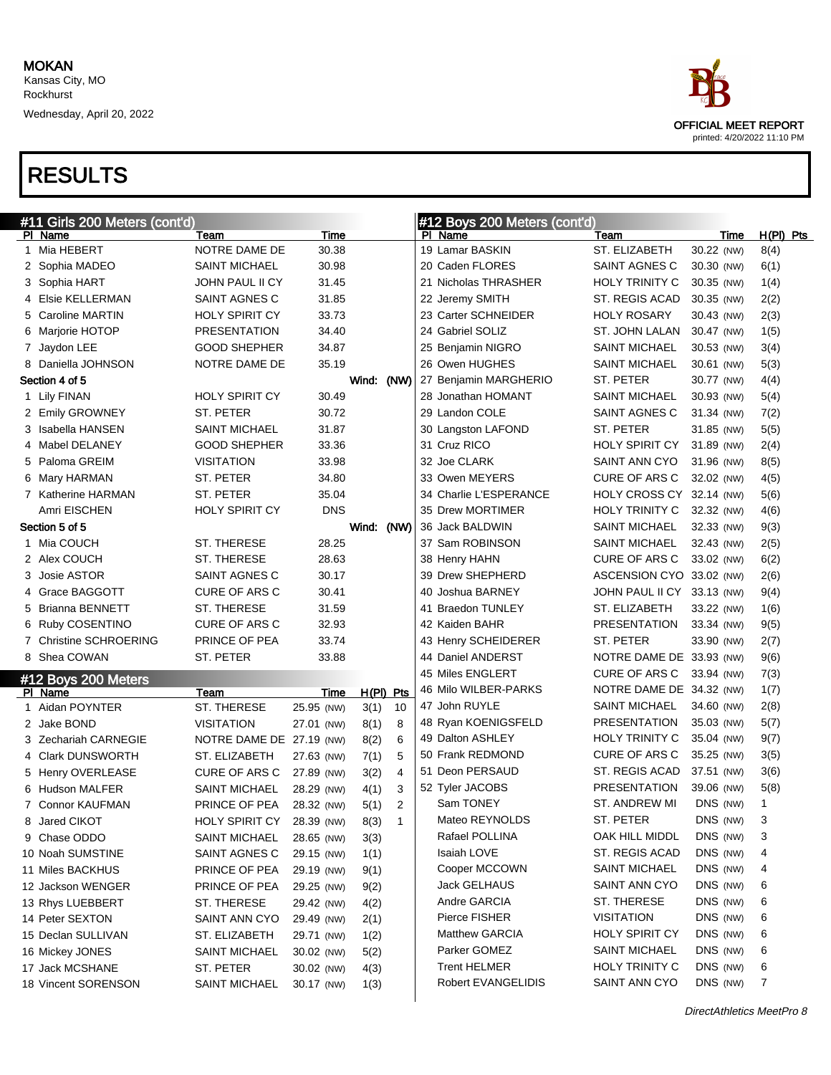Wednesday, April 20, 2022



| #11 Girls 200 Meters (cont'd)  |                          |            |             |                | #12 Boys 200 Meters (cont'd) |                          |            |             |  |
|--------------------------------|--------------------------|------------|-------------|----------------|------------------------------|--------------------------|------------|-------------|--|
| PI Name                        | Team                     | Time       |             |                | PI Name                      | Team                     | Time       | $H(PI)$ Pts |  |
| 1 Mia HEBERT                   | NOTRE DAME DE            | 30.38      |             |                | 19 Lamar BASKIN              | ST. ELIZABETH            | 30.22 (NW) | 8(4)        |  |
| 2 Sophia MADEO                 | SAINT MICHAEL            | 30.98      |             |                | 20 Caden FLORES              | SAINT AGNES C            | 30.30 (NW) | 6(1)        |  |
| 3 Sophia HART                  | JOHN PAUL II CY          | 31.45      |             |                | 21 Nicholas THRASHER         | <b>HOLY TRINITY C</b>    | 30.35 (NW) | 1(4)        |  |
| 4 Elsie KELLERMAN              | SAINT AGNES C            | 31.85      |             |                | 22 Jeremy SMITH              | ST. REGIS ACAD           | 30.35 (NW) | 2(2)        |  |
| 5 Caroline MARTIN              | <b>HOLY SPIRIT CY</b>    | 33.73      |             |                | 23 Carter SCHNEIDER          | <b>HOLY ROSARY</b>       | 30.43 (NW) | 2(3)        |  |
| 6 Marjorie HOTOP               | PRESENTATION             | 34.40      |             |                | 24 Gabriel SOLIZ             | ST. JOHN LALAN           | 30.47 (NW) | 1(5)        |  |
| 7 Jaydon LEE                   | <b>GOOD SHEPHER</b>      | 34.87      |             |                | 25 Benjamin NIGRO            | <b>SAINT MICHAEL</b>     | 30.53 (NW) | 3(4)        |  |
| 8 Daniella JOHNSON             | NOTRE DAME DE            | 35.19      |             |                | 26 Owen HUGHES               | <b>SAINT MICHAEL</b>     | 30.61 (NW) | 5(3)        |  |
| Section 4 of 5                 |                          |            | Wind:       | (NW)           | 27 Benjamin MARGHERIO        | ST. PETER                | 30.77 (NW) | 4(4)        |  |
| 1 Lily FINAN                   | <b>HOLY SPIRIT CY</b>    | 30.49      |             |                | 28 Jonathan HOMANT           | <b>SAINT MICHAEL</b>     | 30.93 (NW) | 5(4)        |  |
| 2 Emily GROWNEY                | ST. PETER                | 30.72      |             |                | 29 Landon COLE               | SAINT AGNES C            | 31.34 (NW) | 7(2)        |  |
| 3 Isabella HANSEN              | <b>SAINT MICHAEL</b>     | 31.87      |             |                | 30 Langston LAFOND           | ST. PETER                | 31.85 (NW) | 5(5)        |  |
| 4 Mabel DELANEY                | <b>GOOD SHEPHER</b>      | 33.36      |             |                | 31 Cruz RICO                 | HOLY SPIRIT CY           | 31.89 (NW) | 2(4)        |  |
| 5 Paloma GREIM                 | <b>VISITATION</b>        | 33.98      |             |                | 32 Joe CLARK                 | SAINT ANN CYO            | 31.96 (NW) | 8(5)        |  |
| 6 Mary HARMAN                  | ST. PETER                | 34.80      |             |                | 33 Owen MEYERS               | CURE OF ARS C            | 32.02 (NW) | 4(5)        |  |
| 7 Katherine HARMAN             | ST. PETER                | 35.04      |             |                | 34 Charlie L'ESPERANCE       | HOLY CROSS CY            | 32.14 (NW) | 5(6)        |  |
| Amri EISCHEN                   | <b>HOLY SPIRIT CY</b>    | <b>DNS</b> |             |                | 35 Drew MORTIMER             | HOLY TRINITY C           | 32.32 (NW) | 4(6)        |  |
| Section 5 of 5                 |                          |            | Wind:       | (NW)           | 36 Jack BALDWIN              | SAINT MICHAEL            | 32.33 (NW) | 9(3)        |  |
| 1 Mia COUCH                    | ST. THERESE              | 28.25      |             |                | 37 Sam ROBINSON              | <b>SAINT MICHAEL</b>     | 32.43 (NW) | 2(5)        |  |
| 2 Alex COUCH                   | ST. THERESE              | 28.63      |             |                | 38 Henry HAHN                | CURE OF ARS C            | 33.02 (NW) | 6(2)        |  |
| 3 Josie ASTOR                  | SAINT AGNES C            | 30.17      |             |                | 39 Drew SHEPHERD             | ASCENSION CYO            | 33.02 (NW) | 2(6)        |  |
| 4 Grace BAGGOTT                | <b>CURE OF ARS C</b>     | 30.41      |             |                | 40 Joshua BARNEY             | JOHN PAUL II CY          | 33.13 (NW) | 9(4)        |  |
| 5 Brianna BENNETT              | ST. THERESE              | 31.59      |             |                | 41 Braedon TUNLEY            | ST. ELIZABETH            | 33.22 (NW) | 1(6)        |  |
| 6 Ruby COSENTINO               | <b>CURE OF ARS C</b>     | 32.93      |             |                | 42 Kaiden BAHR               | <b>PRESENTATION</b>      | 33.34 (NW) | 9(5)        |  |
| 7 Christine SCHROERING         | PRINCE OF PEA            | 33.74      |             |                | 43 Henry SCHEIDERER          | ST. PETER                | 33.90 (NW) | 2(7)        |  |
| 8 Shea COWAN                   | ST. PETER                | 33.88      |             |                | 44 Daniel ANDERST            | NOTRE DAME DE 33.93 (NW) |            | 9(6)        |  |
|                                |                          |            |             |                | 45 Miles ENGLERT             | CURE OF ARS C            | 33.94 (NW) | 7(3)        |  |
| #12 Boys 200 Meters<br>PI Name | Team                     | Time       | $H(PI)$ Pts |                | 46 Milo WILBER-PARKS         | NOTRE DAME DE 34.32 (NW) |            | 1(7)        |  |
| 1 Aidan POYNTER                | ST. THERESE              | 25.95 (NW) | 3(1)        | 10             | 47 John RUYLE                | <b>SAINT MICHAEL</b>     | 34.60 (NW) | 2(8)        |  |
| 2 Jake BOND                    | <b>VISITATION</b>        | 27.01 (NW) | 8(1)        | 8              | 48 Ryan KOENIGSFELD          | PRESENTATION             | 35.03 (NW) | 5(7)        |  |
| 3 Zechariah CARNEGIE           | NOTRE DAME DE 27.19 (NW) |            | 8(2)        | 6              | 49 Dalton ASHLEY             | HOLY TRINITY C           | 35.04 (NW) | 9(7)        |  |
| 4 Clark DUNSWORTH              | ST. ELIZABETH            | 27.63 (NW) | 7(1)        | 5              | 50 Frank REDMOND             | CURE OF ARS C            | 35.25 (NW) | 3(5)        |  |
| 5 Henry OVERLEASE              | <b>CURE OF ARS C</b>     | 27.89 (NW) | 3(2)        | $\overline{4}$ | 51 Deon PERSAUD              | ST. REGIS ACAD           | 37.51 (NW) | 3(6)        |  |
| 6 Hudson MALFER                | SAINT MICHAEL            | 28.29 (NW) | 4(1)        | 3              | 52 Tyler JACOBS              | <b>PRESENTATION</b>      | 39.06 (NW) | 5(8)        |  |
| 7 Connor KAUFMAN               | PRINCE OF PEA            | 28.32 (NW) | 5(1)        | $\overline{2}$ | Sam TONEY                    | ST. ANDREW MI            | DNS (NW)   | 1           |  |
| 8 Jared CIKOT                  | HOLY SPIRIT CY           | 28.39 (NW) | 8(3)        | $\mathbf{1}$   | Mateo REYNOLDS               | ST. PETER                | DNS (NW)   | 3           |  |
| 9 Chase ODDO                   | <b>SAINT MICHAEL</b>     | 28.65 (NW) | 3(3)        |                | Rafael POLLINA               | OAK HILL MIDDL           | DNS (NW)   | 3           |  |
| 10 Noah SUMSTINE               | SAINT AGNES C            | 29.15 (NW) | 1(1)        |                | Isaiah LOVE                  | ST. REGIS ACAD           | DNS (NW)   | 4           |  |
| 11 Miles BACKHUS               | PRINCE OF PEA            | 29.19 (NW) | 9(1)        |                | Cooper MCCOWN                | <b>SAINT MICHAEL</b>     | DNS (NW)   | 4           |  |
| 12 Jackson WENGER              | PRINCE OF PEA            | 29.25 (NW) |             |                | Jack GELHAUS                 | <b>SAINT ANN CYO</b>     | DNS (NW)   | 6           |  |
| 13 Rhys LUEBBERT               | ST. THERESE              | 29.42 (NW) | 9(2)        |                | Andre GARCIA                 | ST. THERESE              | DNS (NW)   | 6           |  |
|                                |                          |            | 4(2)        |                | Pierce FISHER                | <b>VISITATION</b>        | DNS (NW)   | 6           |  |
| 14 Peter SEXTON                | SAINT ANN CYO            | 29.49 (NW) | 2(1)        |                | <b>Matthew GARCIA</b>        | <b>HOLY SPIRIT CY</b>    | DNS (NW)   |             |  |
| 15 Declan SULLIVAN             | ST. ELIZABETH            | 29.71 (NW) | 1(2)        |                | Parker GOMEZ                 | <b>SAINT MICHAEL</b>     | DNS (NW)   | 6           |  |
| 16 Mickey JONES                | SAINT MICHAEL            | 30.02 (NW) | 5(2)        |                | <b>Trent HELMER</b>          | <b>HOLY TRINITY C</b>    | DNS (NW)   | 6           |  |
| 17 Jack MCSHANE                | ST. PETER                | 30.02 (NW) | 4(3)        |                | Robert EVANGELIDIS           | SAINT ANN CYO            | DNS (NW)   | 6<br>7      |  |
| 18 Vincent SORENSON            | <b>SAINT MICHAEL</b>     | 30.17 (NW) | 1(3)        |                |                              |                          |            |             |  |
|                                |                          |            |             |                |                              |                          |            |             |  |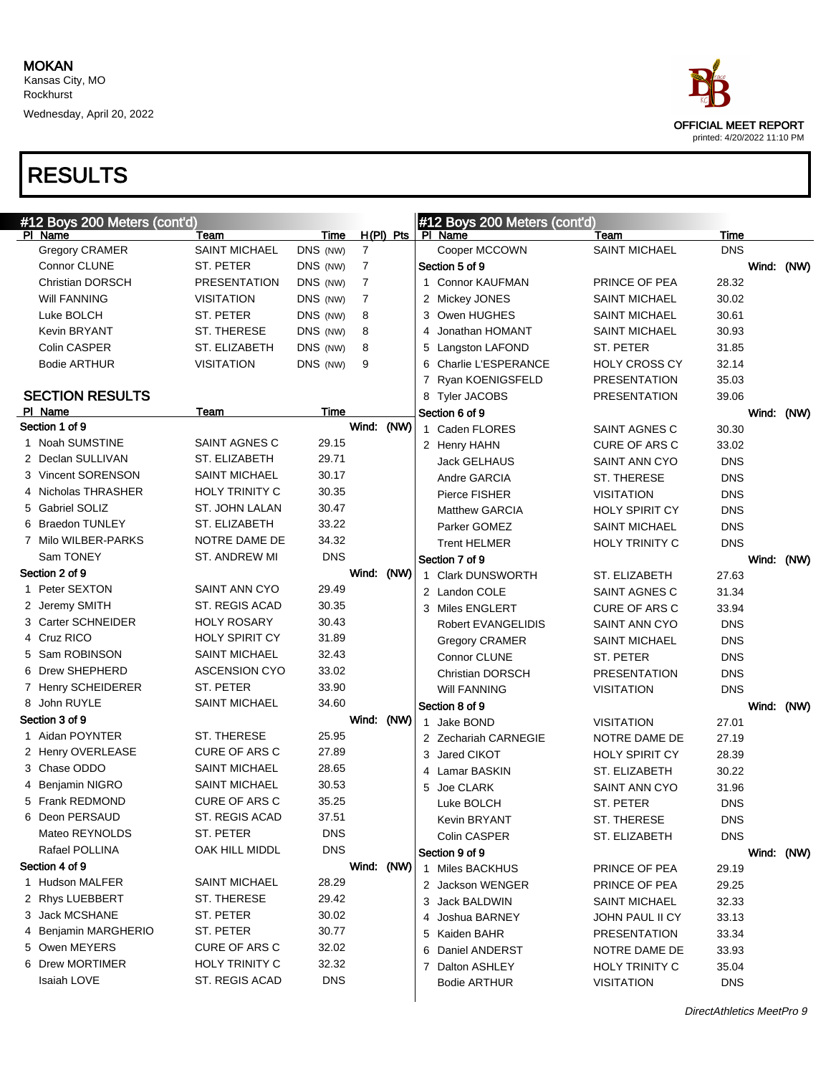

| #12 Boys 200 Meters (cont'd) |                       |            |                |             |   | #12 Boys 200 Meters (cont'd) |                       |            |            |
|------------------------------|-----------------------|------------|----------------|-------------|---|------------------------------|-----------------------|------------|------------|
| PI Name                      | Team                  | Time       |                | $H(PI)$ Pts |   | PI Name                      | Team                  | Time       |            |
| Gregory CRAMER               | <b>SAINT MICHAEL</b>  | DNS (NW)   | $\overline{7}$ |             |   | Cooper MCCOWN                | <b>SAINT MICHAEL</b>  | <b>DNS</b> |            |
| Connor CLUNE                 | ST. PETER             | DNS (NW)   | $\overline{7}$ |             |   | Section 5 of 9               |                       |            | Wind: (NW) |
| <b>Christian DORSCH</b>      | <b>PRESENTATION</b>   | DNS (NW)   | $\overline{7}$ |             |   | 1 Connor KAUFMAN             | PRINCE OF PEA         | 28.32      |            |
| <b>Will FANNING</b>          | <b>VISITATION</b>     | DNS (NW)   | $\overline{7}$ |             |   | 2 Mickey JONES               | <b>SAINT MICHAEL</b>  | 30.02      |            |
| Luke BOLCH                   | ST. PETER             | DNS (NW)   | 8              |             |   | 3 Owen HUGHES                | <b>SAINT MICHAEL</b>  | 30.61      |            |
| <b>Kevin BRYANT</b>          | ST. THERESE           | DNS (NW)   | 8              |             | 4 | Jonathan HOMANT              | <b>SAINT MICHAEL</b>  | 30.93      |            |
| Colin CASPER                 | ST. ELIZABETH         | DNS (NW)   | 8              |             |   | 5 Langston LAFOND            | ST. PETER             | 31.85      |            |
| <b>Bodie ARTHUR</b>          | <b>VISITATION</b>     | DNS (NW)   | 9              |             |   | 6 Charlie L'ESPERANCE        | <b>HOLY CROSS CY</b>  | 32.14      |            |
|                              |                       |            |                |             |   | 7 Ryan KOENIGSFELD           | <b>PRESENTATION</b>   | 35.03      |            |
| <b>SECTION RESULTS</b>       |                       |            |                |             |   | 8 Tyler JACOBS               | <b>PRESENTATION</b>   | 39.06      |            |
| PI Name                      | Team                  | Time       |                |             |   | Section 6 of 9               |                       |            | Wind: (NW) |
| Section 1 of 9               |                       |            | Wind: (NW)     |             |   | 1 Caden FLORES               | SAINT AGNES C         | 30.30      |            |
| 1 Noah SUMSTINE              | SAINT AGNES C         | 29.15      |                |             |   | 2 Henry HAHN                 | <b>CURE OF ARS C</b>  | 33.02      |            |
| 2 Declan SULLIVAN            | ST. ELIZABETH         | 29.71      |                |             |   | Jack GELHAUS                 | <b>SAINT ANN CYO</b>  | <b>DNS</b> |            |
| 3 Vincent SORENSON           | <b>SAINT MICHAEL</b>  | 30.17      |                |             |   | Andre GARCIA                 | ST. THERESE           | <b>DNS</b> |            |
| 4 Nicholas THRASHER          | HOLY TRINITY C        | 30.35      |                |             |   | Pierce FISHER                | <b>VISITATION</b>     | <b>DNS</b> |            |
| 5 Gabriel SOLIZ              | ST. JOHN LALAN        | 30.47      |                |             |   | <b>Matthew GARCIA</b>        | <b>HOLY SPIRIT CY</b> | <b>DNS</b> |            |
| 6 Braedon TUNLEY             | ST. ELIZABETH         | 33.22      |                |             |   | Parker GOMEZ                 | <b>SAINT MICHAEL</b>  | <b>DNS</b> |            |
| 7 Milo WILBER-PARKS          | NOTRE DAME DE         | 34.32      |                |             |   | <b>Trent HELMER</b>          | <b>HOLY TRINITY C</b> | <b>DNS</b> |            |
| Sam TONEY                    | ST. ANDREW MI         | <b>DNS</b> |                |             |   | Section 7 of 9               |                       |            | Wind: (NW) |
| Section 2 of 9               |                       |            | Wind: (NW)     |             |   | 1 Clark DUNSWORTH            | ST. ELIZABETH         | 27.63      |            |
| 1 Peter SEXTON               | SAINT ANN CYO         | 29.49      |                |             |   | 2 Landon COLE                | SAINT AGNES C         | 31.34      |            |
| 2 Jeremy SMITH               | ST. REGIS ACAD        | 30.35      |                |             |   | 3 Miles ENGLERT              | <b>CURE OF ARS C</b>  | 33.94      |            |
| 3 Carter SCHNEIDER           | <b>HOLY ROSARY</b>    | 30.43      |                |             |   | Robert EVANGELIDIS           | <b>SAINT ANN CYO</b>  | <b>DNS</b> |            |
| 4 Cruz RICO                  | <b>HOLY SPIRIT CY</b> | 31.89      |                |             |   | <b>Gregory CRAMER</b>        | <b>SAINT MICHAEL</b>  | <b>DNS</b> |            |
| 5 Sam ROBINSON               | <b>SAINT MICHAEL</b>  | 32.43      |                |             |   | Connor CLUNE                 | ST. PETER             | <b>DNS</b> |            |
| 6 Drew SHEPHERD              | <b>ASCENSION CYO</b>  | 33.02      |                |             |   | <b>Christian DORSCH</b>      | <b>PRESENTATION</b>   | <b>DNS</b> |            |
| 7 Henry SCHEIDERER           | ST. PETER             | 33.90      |                |             |   | <b>Will FANNING</b>          | <b>VISITATION</b>     | <b>DNS</b> |            |
| 8 John RUYLE                 | <b>SAINT MICHAEL</b>  | 34.60      |                |             |   | Section 8 of 9               |                       |            | Wind: (NW) |
| Section 3 of 9               |                       |            | Wind: (NW)     |             |   | 1 Jake BOND                  | <b>VISITATION</b>     | 27.01      |            |
| 1 Aidan POYNTER              | ST. THERESE           | 25.95      |                |             |   | 2 Zechariah CARNEGIE         | NOTRE DAME DE         | 27.19      |            |
| 2 Henry OVERLEASE            | <b>CURE OF ARS C</b>  | 27.89      |                |             |   | 3 Jared CIKOT                | <b>HOLY SPIRIT CY</b> | 28.39      |            |
| 3 Chase ODDO                 | <b>SAINT MICHAEL</b>  | 28.65      |                |             |   | 4 Lamar BASKIN               | ST. ELIZABETH         | 30.22      |            |
| 4 Benjamin NIGRO             | <b>SAINT MICHAEL</b>  | 30.53      |                |             |   | 5 Joe CLARK                  | <b>SAINT ANN CYO</b>  | 31.96      |            |
| 5 Frank REDMOND              | CURE OF ARS C         | 35.25      |                |             |   | Luke BOLCH                   | ST. PETER             | <b>DNS</b> |            |
| 6 Deon PERSAUD               | ST. REGIS ACAD        | 37.51      |                |             |   | Kevin BRYANT                 | ST. THERESE           | DNS        |            |
| Mateo REYNOLDS               | ST. PETER             | DNS.       |                |             |   | Colin CASPER                 | ST. ELIZABETH         | <b>DNS</b> |            |
| Rafael POLLINA               | OAK HILL MIDDL        | <b>DNS</b> |                |             |   | Section 9 of 9               |                       |            | Wind: (NW) |
| Section 4 of 9               |                       |            | Wind: (NW)     |             |   | 1 Miles BACKHUS              | PRINCE OF PEA         | 29.19      |            |
| 1 Hudson MALFER              | <b>SAINT MICHAEL</b>  | 28.29      |                |             |   | 2 Jackson WENGER             | PRINCE OF PEA         | 29.25      |            |
| 2 Rhys LUEBBERT              | ST. THERESE           | 29.42      |                |             |   | 3 Jack BALDWIN               | <b>SAINT MICHAEL</b>  | 32.33      |            |
| 3 Jack MCSHANE               | ST. PETER             | 30.02      |                |             |   | 4 Joshua BARNEY              | JOHN PAUL II CY       | 33.13      |            |
| 4 Benjamin MARGHERIO         | ST. PETER             | 30.77      |                |             |   | 5 Kaiden BAHR                | <b>PRESENTATION</b>   | 33.34      |            |
| 5 Owen MEYERS                | <b>CURE OF ARS C</b>  | 32.02      |                |             |   | 6 Daniel ANDERST             | NOTRE DAME DE         | 33.93      |            |
| 6 Drew MORTIMER              | <b>HOLY TRINITY C</b> | 32.32      |                |             |   | 7 Dalton ASHLEY              | <b>HOLY TRINITY C</b> | 35.04      |            |
| Isaiah LOVE                  | ST. REGIS ACAD        | <b>DNS</b> |                |             |   | <b>Bodie ARTHUR</b>          | <b>VISITATION</b>     | <b>DNS</b> |            |
|                              |                       |            |                |             |   |                              |                       |            |            |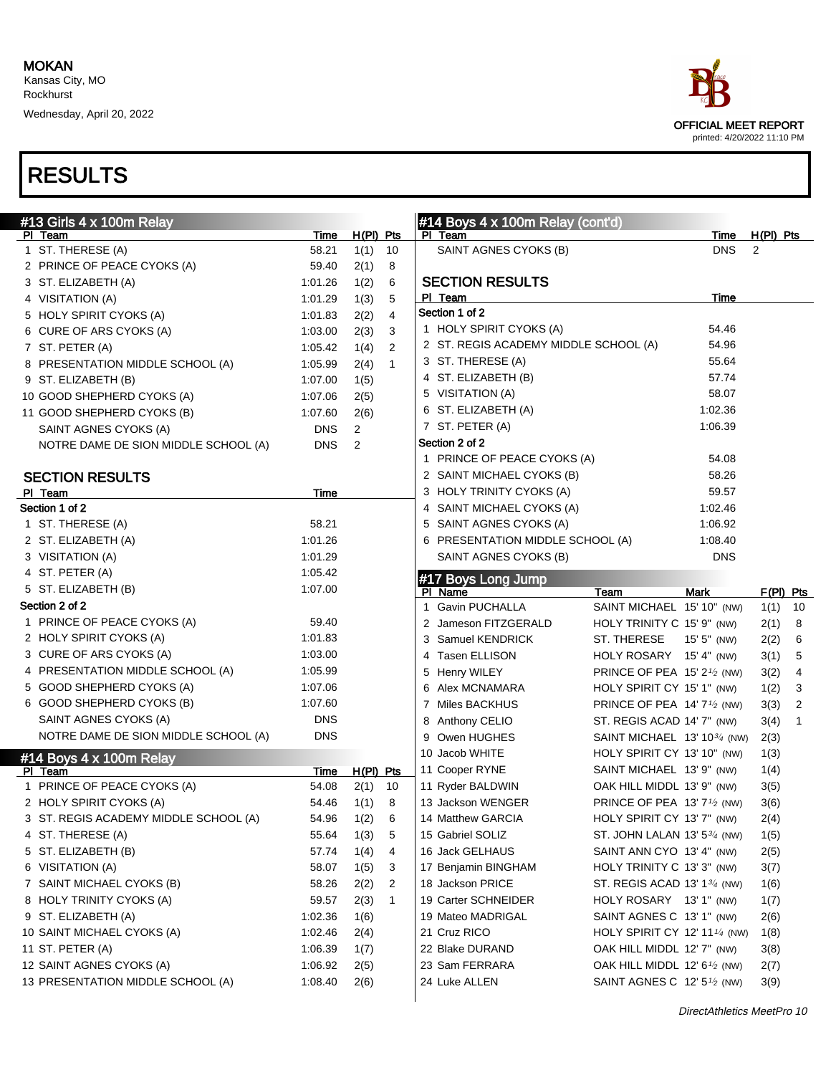

| $#13$ Girls $4 \times 100$ m Relay    |             |                |                | #14 Boys $4 \times 100$ m Relay (cont'd) |                                                      |             |             |                |
|---------------------------------------|-------------|----------------|----------------|------------------------------------------|------------------------------------------------------|-------------|-------------|----------------|
| PI Team                               | Time        | $H(PI)$ Pts    |                | PI Team                                  |                                                      | Time        | $H(PI)$ Pts |                |
| 1 ST. THERESE (A)                     | 58.21       | 1(1)           | 10             | SAINT AGNES CYOKS (B)                    |                                                      | <b>DNS</b>  | 2           |                |
| 2 PRINCE OF PEACE CYOKS (A)           | 59.40       | 2(1)           | 8              |                                          |                                                      |             |             |                |
| 3 ST. ELIZABETH (A)                   | 1:01.26     | 1(2)           | 6              | <b>SECTION RESULTS</b>                   |                                                      |             |             |                |
| 4 VISITATION (A)                      | 1:01.29     | 1(3)           | 5              | PI Team                                  |                                                      | Time        |             |                |
| 5 HOLY SPIRIT CYOKS (A)               | 1:01.83     | 2(2)           | 4              | Section 1 of 2                           |                                                      |             |             |                |
| 6 CURE OF ARS CYOKS (A)               | 1:03.00     | 2(3)           | 3              | 1 HOLY SPIRIT CYOKS (A)                  |                                                      | 54.46       |             |                |
| 7 ST. PETER (A)                       | 1:05.42     | 1(4)           | 2              | 2 ST. REGIS ACADEMY MIDDLE SCHOOL (A)    |                                                      | 54.96       |             |                |
| 8 PRESENTATION MIDDLE SCHOOL (A)      | 1:05.99     | 2(4)           | $\mathbf{1}$   | 3 ST. THERESE (A)                        |                                                      | 55.64       |             |                |
| 9 ST. ELIZABETH (B)                   | 1:07.00     | 1(5)           |                | 4 ST. ELIZABETH (B)                      |                                                      | 57.74       |             |                |
| 10 GOOD SHEPHERD CYOKS (A)            | 1:07.06     | 2(5)           |                | 5 VISITATION (A)                         |                                                      | 58.07       |             |                |
| 11 GOOD SHEPHERD CYOKS (B)            | 1:07.60     | 2(6)           |                | 6 ST. ELIZABETH (A)                      |                                                      | 1:02.36     |             |                |
| SAINT AGNES CYOKS (A)                 | <b>DNS</b>  | $\overline{2}$ |                | 7 ST. PETER (A)                          |                                                      | 1:06.39     |             |                |
| NOTRE DAME DE SION MIDDLE SCHOOL (A)  | <b>DNS</b>  | 2              |                | Section 2 of 2                           |                                                      |             |             |                |
|                                       |             |                |                | 1 PRINCE OF PEACE CYOKS (A)              |                                                      | 54.08       |             |                |
| <b>SECTION RESULTS</b>                |             |                |                | 2 SAINT MICHAEL CYOKS (B)                |                                                      | 58.26       |             |                |
| PI Team                               | Time        |                |                | 3 HOLY TRINITY CYOKS (A)                 |                                                      | 59.57       |             |                |
| Section 1 of 2                        |             |                |                | 4 SAINT MICHAEL CYOKS (A)                |                                                      | 1:02.46     |             |                |
| 1 ST. THERESE (A)                     | 58.21       |                |                | 5 SAINT AGNES CYOKS (A)                  |                                                      | 1:06.92     |             |                |
| 2 ST. ELIZABETH (A)                   | 1:01.26     |                |                | 6 PRESENTATION MIDDLE SCHOOL (A)         |                                                      | 1:08.40     |             |                |
| 3 VISITATION (A)                      | 1:01.29     |                |                | SAINT AGNES CYOKS (B)                    |                                                      | <b>DNS</b>  |             |                |
| 4 ST. PETER (A)                       | 1:05.42     |                |                | #17 Boys Long Jump                       |                                                      |             |             |                |
| 5 ST. ELIZABETH (B)                   | 1:07.00     |                |                | PI Name                                  | Team                                                 | <b>Mark</b> | $F(PI)$ Pts |                |
| Section 2 of 2                        |             |                |                | 1 Gavin PUCHALLA                         | SAINT MICHAEL 15' 10" (NW)                           |             | 1(1)        | 10             |
| 1 PRINCE OF PEACE CYOKS (A)           | 59.40       |                |                | 2 Jameson FITZGERALD                     | HOLY TRINITY C 15' 9" (NW)                           |             | 2(1)        | 8              |
| 2 HOLY SPIRIT CYOKS (A)               | 1:01.83     |                |                | 3 Samuel KENDRICK                        | ST. THERESE                                          | 15' 5" (NW) | 2(2)        | 6              |
| 3 CURE OF ARS CYOKS (A)               | 1:03.00     |                |                | <b>Tasen ELLISON</b><br>4                | HOLY ROSARY 15' 4" (NW)                              |             | 3(1)        | 5              |
| 4 PRESENTATION MIDDLE SCHOOL (A)      | 1:05.99     |                |                | 5 Henry WILEY                            | PRINCE OF PEA 15' 21/2 (NW)                          |             | 3(2)        | 4              |
| 5 GOOD SHEPHERD CYOKS (A)             | 1:07.06     |                |                | 6 Alex MCNAMARA                          | HOLY SPIRIT CY 15' 1" (NW)                           |             | 1(2)        | 3              |
| 6 GOOD SHEPHERD CYOKS (B)             | 1:07.60     |                |                | 7 Miles BACKHUS                          | PRINCE OF PEA 14' $7\frac{1}{2}$ (NW)                |             | 3(3)        | $\overline{2}$ |
| SAINT AGNES CYOKS (A)                 | <b>DNS</b>  |                |                | 8 Anthony CELIO                          | ST. REGIS ACAD 14' 7" (NW)                           |             | 3(4)        | $\mathbf{1}$   |
| NOTRE DAME DE SION MIDDLE SCHOOL (A)  | <b>DNS</b>  |                |                | 9 Owen HUGHES                            | SAINT MICHAEL 13' 10 <sup>3/4</sup> (NW)             |             | 2(3)        |                |
| #14 Boys 4 x 100m Relay               |             |                |                | 10 Jacob WHITE                           | HOLY SPIRIT CY 13' 10" (NW)                          |             | 1(3)        |                |
| PI Team                               | <u>Time</u> | H(PI) Pts      |                | 11 Cooper RYNE                           | SAINT MICHAEL 13' 9" (NW)                            |             | 1(4)        |                |
| 1 PRINCE OF PEACE CYOKS (A)           | 54.08       | 2(1)           | 10             | 11 Ryder BALDWIN                         | OAK HILL MIDDL 13' 9" (NW)                           |             | 3(5)        |                |
| 2 HOLY SPIRIT CYOKS (A)               | 54.46       | 1(1)           | 8              | 13 Jackson WENGER                        | PRINCE OF PEA 13' 7 <sup>1</sup> / <sub>2</sub> (NW) |             | 3(6)        |                |
| 3 ST. REGIS ACADEMY MIDDLE SCHOOL (A) | 54.96       | 1(2)           | 6              | 14 Matthew GARCIA                        | HOLY SPIRIT CY 13' 7" (NW)                           |             | 2(4)        |                |
| 4 ST. THERESE (A)                     | 55.64       | 1(3)           | 5              | 15 Gabriel SOLIZ                         | ST. JOHN LALAN 13' $5\frac{3}{4}$ (NW)               |             | 1(5)        |                |
| 5 ST. ELIZABETH (B)                   | 57.74       | 1(4)           | 4              | 16 Jack GELHAUS                          | SAINT ANN CYO 13' 4" (NW)                            |             | 2(5)        |                |
| 6 VISITATION (A)                      | 58.07       | 1(5)           | 3              | 17 Benjamin BINGHAM                      | HOLY TRINITY C 13' 3" (NW)                           |             | 3(7)        |                |
| 7 SAINT MICHAEL CYOKS (B)             | 58.26       | 2(2)           | $\overline{2}$ | 18 Jackson PRICE                         | ST. REGIS ACAD 13' 13/4 (NW)                         |             | 1(6)        |                |
| 8 HOLY TRINITY CYOKS (A)              | 59.57       | 2(3)           | $\mathbf{1}$   | 19 Carter SCHNEIDER                      | HOLY ROSARY 13' 1" (NW)                              |             | 1(7)        |                |
| 9 ST. ELIZABETH (A)                   | 1:02.36     | 1(6)           |                | 19 Mateo MADRIGAL                        | SAINT AGNES C 13' 1" (NW)                            |             | 2(6)        |                |
| 10 SAINT MICHAEL CYOKS (A)            | 1:02.46     | 2(4)           |                | 21 Cruz RICO                             | HOLY SPIRIT CY 12' 11 <sup>1/4</sup> (NW)            |             | 1(8)        |                |
| 11 ST. PETER (A)                      | 1:06.39     | 1(7)           |                | 22 Blake DURAND                          | OAK HILL MIDDL 12' 7" (NW)                           |             | 3(8)        |                |
| 12 SAINT AGNES CYOKS (A)              | 1:06.92     |                |                | 23 Sam FERRARA                           | OAK HILL MIDDL 12' $6\frac{1}{2}$ (NW)               |             |             |                |
| 13 PRESENTATION MIDDLE SCHOOL (A)     | 1:08.40     | 2(5)           |                | 24 Luke ALLEN                            | SAINT AGNES C 12' 5 <sup>1</sup> /2 (NW)             |             | 2(7)        |                |
|                                       |             | 2(6)           |                |                                          |                                                      |             | 3(9)        |                |
|                                       |             |                |                |                                          |                                                      |             |             |                |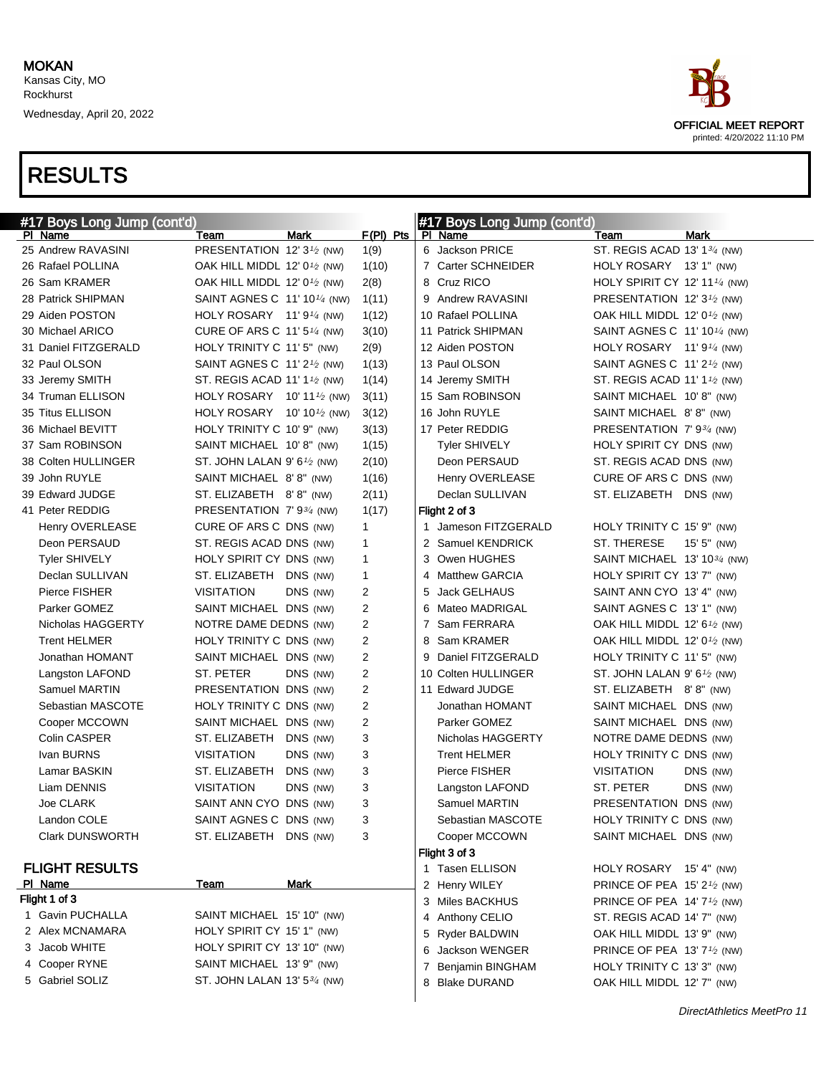

#### Wednesday, April 20, 2022

| #17 Boys Long Jump (cont'd) |                                                     |              |   | #17 Boys Long Jump (cont'd) |                                                       |                            |
|-----------------------------|-----------------------------------------------------|--------------|---|-----------------------------|-------------------------------------------------------|----------------------------|
| PI Name                     | Mark<br>Team                                        | $F(PI)$ Pts  |   | PI Name                     | Team                                                  | Mark                       |
| 25 Andrew RAVASINI          | PRESENTATION 12' $3\frac{1}{2}$ (NW)                | 1(9)         |   | 6 Jackson PRICE             | ST. REGIS ACAD 13' 1 <sup>3/4</sup> (NW)              |                            |
| 26 Rafael POLLINA           | OAK HILL MIDDL 12' $0\frac{1}{2}$ (NW)              | 1(10)        |   | 7 Carter SCHNEIDER          | HOLY ROSARY 13' 1" (NW)                               |                            |
| 26 Sam KRAMER               | OAK HILL MIDDL 12' $0\frac{1}{2}$ (NW)              | 2(8)         |   | 8 Cruz RICO                 | HOLY SPIRIT CY 12' 11 <sup>1/4</sup> (NW)             |                            |
| 28 Patrick SHIPMAN          | SAINT AGNES C $11'101/4$ (NW)                       | 1(11)        |   | 9 Andrew RAVASINI           | PRESENTATION 12' 3 <sup>1</sup> / <sub>2</sub> (NW)   |                            |
| 29 Aiden POSTON             | HOLY ROSARY 11'9 $\frac{1}{4}$ (NW)                 | 1(12)        |   | 10 Rafael POLLINA           | OAK HILL MIDDL 12' 0 <sup>1</sup> /2 (NW)             |                            |
| 30 Michael ARICO            | CURE OF ARS C 11' 5 $\frac{1}{4}$ (NW)              | 3(10)        |   | 11 Patrick SHIPMAN          | SAINT AGNES C 11' 10 <sup>1/4</sup> (NW)              |                            |
| 31 Daniel FITZGERALD        | HOLY TRINITY C 11' 5" (NW)                          | 2(9)         |   | 12 Aiden POSTON             | HOLY ROSARY 11' $91/4$ (NW)                           |                            |
| 32 Paul OLSON               | SAINT AGNES C $11'2'$ (NW)                          | 1(13)        |   | 13 Paul OLSON               | SAINT AGNES C 11' 2 <sup>1</sup> / <sub>2</sub> (NW)  |                            |
| 33 Jeremy SMITH             | ST. REGIS ACAD 11' 1 $\frac{1}{2}$ (NW)             | 1(14)        |   | 14 Jeremy SMITH             | ST. REGIS ACAD 11' 1 <sup>1</sup> / <sub>2</sub> (NW) |                            |
| 34 Truman ELLISON           | HOLY ROSARY 10' 11 $\frac{1}{2}$ (NW)               | 3(11)        |   | 15 Sam ROBINSON             | SAINT MICHAEL 10'8" (NW)                              |                            |
| 35 Titus ELLISON            | HOLY ROSARY 10' 10 <sup>1</sup> / <sub>2</sub> (NW) | 3(12)        |   | 16 John RUYLE               | SAINT MICHAEL 8'8" (NW)                               |                            |
| 36 Michael BEVITT           | HOLY TRINITY C 10' 9" (NW)                          | 3(13)        |   | 17 Peter REDDIG             | PRESENTATION 7'9 <sup>3</sup> / <sub>4</sub> (NW)     |                            |
| 37 Sam ROBINSON             | SAINT MICHAEL 10'8" (NW)                            | 1(15)        |   | Tyler SHIVELY               | HOLY SPIRIT CY DNS (NW)                               |                            |
| 38 Colten HULLINGER         | ST. JOHN LALAN 9' 6 $\frac{1}{2}$ (NW)              | 2(10)        |   | Deon PERSAUD                | ST. REGIS ACAD DNS (NW)                               |                            |
| 39 John RUYLE               | SAINT MICHAEL 8'8" (NW)                             | 1(16)        |   | Henry OVERLEASE             | CURE OF ARS C DNS (NW)                                |                            |
| 39 Edward JUDGE             | ST. ELIZABETH 8'8" (NW)                             | 2(11)        |   | Declan SULLIVAN             | ST. ELIZABETH DNS (NW)                                |                            |
| 41 Peter REDDIG             | PRESENTATION 7'9 <sup>3</sup> / <sub>4</sub> (NW)   | 1(17)        |   | Flight 2 of 3               |                                                       |                            |
| Henry OVERLEASE             | CURE OF ARS C DNS (NW)                              | $\mathbf{1}$ |   | 1 Jameson FITZGERALD        | HOLY TRINITY C 15' 9" (NW)                            |                            |
| Deon PERSAUD                | ST. REGIS ACAD DNS (NW)                             | 1            |   | 2 Samuel KENDRICK           | ST. THERESE                                           | $15'5''$ (NW)              |
| <b>Tyler SHIVELY</b>        | HOLY SPIRIT CY DNS (NW)                             | $\mathbf{1}$ |   | 3 Owen HUGHES               | SAINT MICHAEL 13' 10 <sup>3</sup> /4 (NW)             |                            |
| Declan SULLIVAN             | ST. ELIZABETH DNS (NW)                              | 1            |   | 4 Matthew GARCIA            | HOLY SPIRIT CY 13' 7" (NW)                            |                            |
| Pierce FISHER               | <b>VISITATION</b><br>DNS (NW)                       | 2            |   | 5 Jack GELHAUS              | SAINT ANN CYO 13' 4" (NW)                             |                            |
| Parker GOMEZ                | SAINT MICHAEL DNS (NW)                              | 2            | 6 | Mateo MADRIGAL              | SAINT AGNES C 13' 1" (NW)                             |                            |
| Nicholas HAGGERTY           | NOTRE DAME DEDNS (NW)                               | 2            |   | 7 Sam FERRARA               | OAK HILL MIDDL 12' 6 <sup>1</sup> /2 (NW)             |                            |
| <b>Trent HELMER</b>         | HOLY TRINITY C DNS (NW)                             | 2            |   | 8 Sam KRAMER                | OAK HILL MIDDL 12' $0\frac{1}{2}$ (NW)                |                            |
| Jonathan HOMANT             | SAINT MICHAEL DNS (NW)                              | 2            |   | 9 Daniel FITZGERALD         | HOLY TRINITY C 11' 5" (NW)                            |                            |
| Langston LAFOND             | ST. PETER<br>DNS (NW)                               | 2            |   | 10 Colten HULLINGER         | ST. JOHN LALAN 9' $6\frac{1}{2}$ (NW)                 |                            |
| Samuel MARTIN               | PRESENTATION DNS (NW)                               | 2            |   | 11 Edward JUDGE             | ST. ELIZABETH 8'8" (NW)                               |                            |
| Sebastian MASCOTE           | HOLY TRINITY C DNS (NW)                             | 2            |   | Jonathan HOMANT             | SAINT MICHAEL DNS (NW)                                |                            |
| Cooper MCCOWN               | SAINT MICHAEL DNS (NW)                              | 2            |   | Parker GOMEZ                | SAINT MICHAEL DNS (NW)                                |                            |
| Colin CASPER                | ST. ELIZABETH<br>DNS (NW)                           | 3            |   | Nicholas HAGGERTY           | NOTRE DAME DEDNS (NW)                                 |                            |
| Ivan BURNS                  | <b>VISITATION</b><br>DNS (NW)                       | 3            |   | <b>Trent HELMER</b>         | HOLY TRINITY C DNS (NW)                               |                            |
| Lamar BASKIN                | ST. ELIZABETH<br>DNS (NW)                           | 3            |   | Pierce FISHER               | <b>VISITATION</b>                                     | DNS (NW)                   |
| Liam DENNIS                 | <b>VISITATION</b><br>DNS (NW)                       | 3            |   | Langston LAFOND             | ST. PETER                                             | DNS (NW)                   |
| Joe CLARK                   | SAINT ANN CYO DNS (NW)                              | 3            |   | Samuel MARTIN               | PRESENTATION DNS (NW)                                 |                            |
| Landon COLE                 | SAINT AGNES C DNS (NW)                              | 3            |   | Sebastian MASCOTE           | HOLY TRINITY C DNS (NW)                               |                            |
| <b>Clark DUNSWORTH</b>      | ST. ELIZABETH DNS (NW)                              | 3            |   | Cooper MCCOWN               | SAINT MICHAEL DNS (NW)                                |                            |
|                             |                                                     |              |   | Flight 3 of 3               |                                                       |                            |
| <b>FLIGHT RESULTS</b>       |                                                     |              |   | 1 Tasen ELLISON             | HOLY ROSARY 15' 4" (NW)                               |                            |
| PI Name                     | <b>Mark</b><br>Team                                 |              |   | 2 Henry WILEY               | PRINCE OF PEA 15' $2\frac{1}{2}$ (NW)                 |                            |
| Flight 1 of 3               |                                                     |              |   | 3 Miles BACKHUS             | PRINCE OF PEA 14' 7 <sup>1</sup> / <sub>2</sub> (NW)  |                            |
| 1 Gavin PUCHALLA            | SAINT MICHAEL 15' 10" (NW)                          |              |   | 4 Anthony CELIO             | ST. REGIS ACAD 14' 7" (NW)                            |                            |
| 2 Alex MCNAMARA             | HOLY SPIRIT CY 15' 1" (NW)                          |              |   | 5 Ryder BALDWIN             | OAK HILL MIDDL 13' 9" (NW)                            |                            |
| 3 Jacob WHITE               | HOLY SPIRIT CY 13' 10" (NW)                         |              |   | 6 Jackson WENGER            | PRINCE OF PEA 13' $7\frac{1}{2}$ (NW)                 |                            |
| 4 Cooper RYNE               | SAINT MICHAEL 13' 9" (NW)                           |              |   | 7 Benjamin BINGHAM          | HOLY TRINITY C 13' 3" (NW)                            |                            |
| 5 Gabriel SOLIZ             | ST. JOHN LALAN 13' $5\frac{3}{4}$ (NW)              |              |   | 8 Blake DURAND              | OAK HILL MIDDL 12' 7" (NW)                            |                            |
|                             |                                                     |              |   |                             |                                                       | DirectAthletics MeetPro 11 |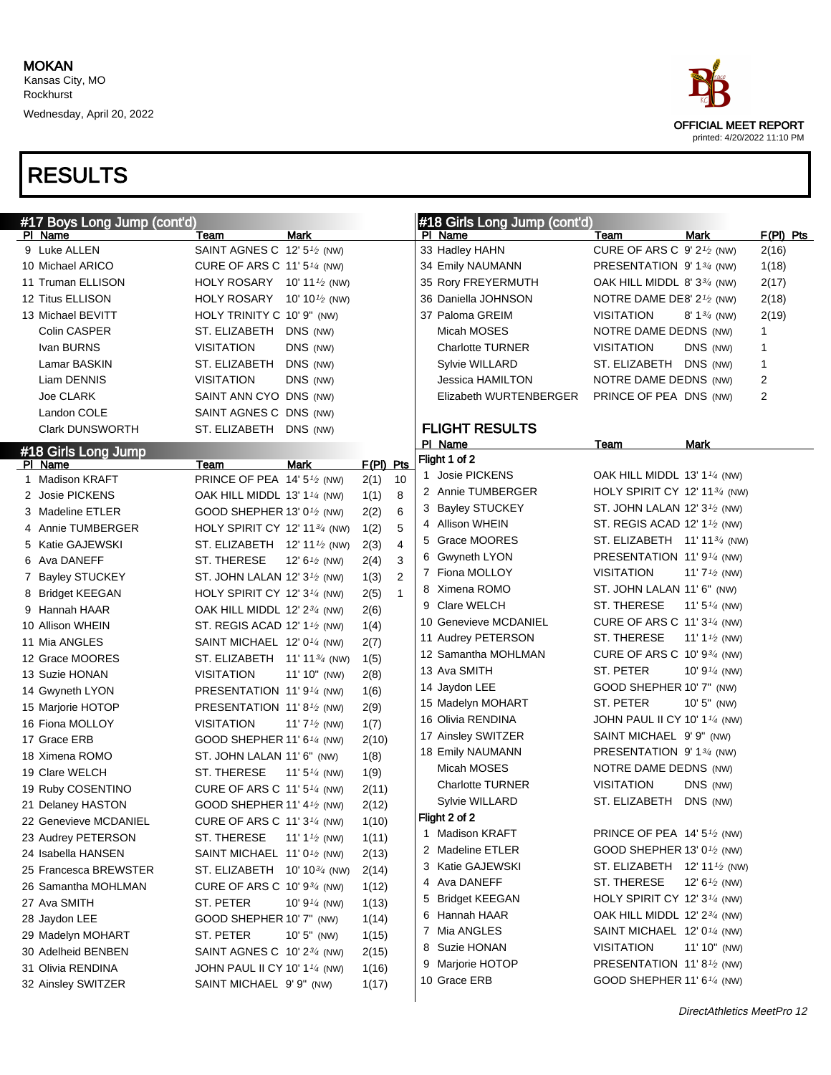

| #17 Boys Long Jump (cont'd) |                                                       |                                        |             |              |   | #18 Girls Long Jump (cont'd) |                                                    |                                        |                         |  |
|-----------------------------|-------------------------------------------------------|----------------------------------------|-------------|--------------|---|------------------------------|----------------------------------------------------|----------------------------------------|-------------------------|--|
| PI Name                     | Team                                                  | Mark                                   |             |              |   | PI Name                      | Team                                               | <b>Mark</b>                            | $F(PI)$ Pts             |  |
| 9 Luke ALLEN                | SAINT AGNES C 12' 5 <sup>1</sup> / <sub>2</sub> (NW)  |                                        |             |              |   | 33 Hadley HAHN               | CURE OF ARS C 9' 2 <sup>1</sup> /2 (NW)            |                                        | 2(16)                   |  |
| 10 Michael ARICO            | CURE OF ARS C 11' 5 $\frac{1}{4}$ (NW)                |                                        |             |              |   | 34 Emily NAUMANN             | PRESENTATION 9' 1 <sup>3</sup> / <sub>4</sub> (NW) |                                        | 1(18)                   |  |
| 11 Truman ELLISON           | HOLY ROSARY 10' 11 $\frac{1}{2}$ (NW)                 |                                        |             |              |   | 35 Rory FREYERMUTH           | OAK HILL MIDDL 8' $3\frac{3}{4}$ (NW)              |                                        | 2(17)                   |  |
| 12 Titus ELLISON            | HOLY ROSARY 10' 10 $\frac{1}{2}$ (NW)                 |                                        |             |              |   | 36 Daniella JOHNSON          | NOTRE DAME DE8' $2\frac{1}{2}$ (NW)                |                                        | 2(18)                   |  |
| 13 Michael BEVITT           | HOLY TRINITY C 10' 9" (NW)                            |                                        |             |              |   | 37 Paloma GREIM              | <b>VISITATION</b>                                  | 8' $1\frac{3}{4}$ (NW)                 | 2(19)                   |  |
| Colin CASPER                | ST. ELIZABETH                                         | DNS (NW)                               |             |              |   | Micah MOSES                  | NOTRE DAME DEDNS (NW)                              |                                        | 1                       |  |
| Ivan BURNS                  | <b>VISITATION</b>                                     | DNS (NW)                               |             |              |   | <b>Charlotte TURNER</b>      | <b>VISITATION</b>                                  | DNS (NW)                               | 1                       |  |
| Lamar BASKIN                | ST. ELIZABETH                                         | DNS (NW)                               |             |              |   | Sylvie WILLARD               | ST. ELIZABETH DNS (NW)                             |                                        | $\mathbf{1}$            |  |
| Liam DENNIS                 | <b>VISITATION</b>                                     | DNS (NW)                               |             |              |   | Jessica HAMILTON             | NOTRE DAME DEDNS (NW)                              |                                        | $\overline{\mathbf{c}}$ |  |
| Joe CLARK                   | SAINT ANN CYO DNS (NW)                                |                                        |             |              |   | Elizabeth WURTENBERGER       | PRINCE OF PEA DNS (NW)                             |                                        | 2                       |  |
| Landon COLE                 | SAINT AGNES C DNS (NW)                                |                                        |             |              |   |                              |                                                    |                                        |                         |  |
| <b>Clark DUNSWORTH</b>      | ST. ELIZABETH                                         | DNS (NW)                               |             |              |   | <b>FLIGHT RESULTS</b>        |                                                    |                                        |                         |  |
| #18 Girls Long Jump         |                                                       |                                        |             |              |   | PI Name                      | Team                                               | Mark                                   |                         |  |
| PI Name                     | Team                                                  | <b>Mark</b>                            | $F(PI)$ Pts |              |   | Flight 1 of 2                |                                                    |                                        |                         |  |
| 1 Madison KRAFT             | PRINCE OF PEA 14' 5 <sup>1</sup> / <sub>2</sub> (NW)  |                                        | 2(1)        | 10           |   | 1 Josie PICKENS              | OAK HILL MIDDL 13' 1 $\frac{1}{4}$ (NW)            |                                        |                         |  |
| 2 Josie PICKENS             | OAK HILL MIDDL 13' 1 <sup>1/4</sup> (NW)              |                                        | 1(1)        | 8            |   | 2 Annie TUMBERGER            | HOLY SPIRIT CY 12' 11 $\frac{3}{4}$ (NW)           |                                        |                         |  |
| 3 Madeline ETLER            | GOOD SHEPHER 13' 0 <sup>1</sup> /2 (NW)               |                                        | 2(2)        | 6            |   | 3 Bayley STUCKEY             | ST. JOHN LALAN 12' $3\frac{1}{2}$ (NW)             |                                        |                         |  |
| 4 Annie TUMBERGER           | HOLY SPIRIT CY 12' 11 <sup>3/4</sup> (NW)             |                                        | 1(2)        | 5            |   | 4 Allison WHEIN              | ST. REGIS ACAD 12' $1\frac{1}{2}$ (NW)             |                                        |                         |  |
| 5 Katie GAJEWSKI            | ST. ELIZABETH 12' 111/2 (NW)                          |                                        | 2(3)        | 4            |   | 5 Grace MOORES               | ST. ELIZABETH 11' 11 <sup>3/4</sup> (NW)           |                                        |                         |  |
| 6 Ava DANEFF                | ST. THERESE                                           | 12' $6\frac{1}{2}$ (NW)                | 2(4)        | 3            |   | 6 Gwyneth LYON               | PRESENTATION 11'9 <sup>1/4</sup> (NW)              |                                        |                         |  |
| 7 Bayley STUCKEY            | ST. JOHN LALAN 12' 3 <sup>1/2</sup> (NW)              |                                        | 1(3)        | $\mathbf{2}$ |   | 7 Fiona MOLLOY               | <b>VISITATION</b>                                  | 11' $7\frac{1}{2}$ (NW)                |                         |  |
| 8 Bridget KEEGAN            | HOLY SPIRIT CY 12' 3 <sup>1/4</sup> (NW)              |                                        | 2(5)        | $\mathbf{1}$ |   | 8 Ximena ROMO                | ST. JOHN LALAN 11' 6" (NW)                         |                                        |                         |  |
| 9 Hannah HAAR               | OAK HILL MIDDL 12' 23/4 (NW)                          |                                        | 2(6)        |              |   | 9 Clare WELCH                | ST. THERESE                                        | 11' $5\frac{1}{4}$ (NW)                |                         |  |
| 10 Allison WHEIN            | ST. REGIS ACAD 12' 1 <sup>1</sup> / <sub>2</sub> (NW) |                                        | 1(4)        |              |   | 10 Genevieve MCDANIEL        | CURE OF ARS C 11' 3 <sup>1/4</sup> (NW)            |                                        |                         |  |
| 11 Mia ANGLES               | SAINT MICHAEL 12' 0 <sup>1/4</sup> (NW)               |                                        | 2(7)        |              |   | 11 Audrey PETERSON           | ST. THERESE                                        | 11' 1 <sup><math>1/2</math></sup> (NW) |                         |  |
| 12 Grace MOORES             | ST. ELIZABETH 11' 11 <sup>3/4</sup> (NW)              |                                        | 1(5)        |              |   | 12 Samantha MOHLMAN          | CURE OF ARS C 10' 93/4 (NW)                        |                                        |                         |  |
| 13 Suzie HONAN              | <b>VISITATION</b>                                     | 11' 10" (NW)                           | 2(8)        |              |   | 13 Ava SMITH                 | ST. PETER                                          | 10' $9\frac{1}{4}$ (NW)                |                         |  |
| 14 Gwyneth LYON             | PRESENTATION 11'91/4 (NW)                             |                                        | 1(6)        |              |   | 14 Jaydon LEE                | GOOD SHEPHER 10' 7" (NW)                           |                                        |                         |  |
| 15 Marjorie HOTOP           | PRESENTATION 11'8 <sup>1</sup> / <sub>2</sub> (NW)    |                                        | 2(9)        |              |   | 15 Madelyn MOHART            | ST. PETER                                          | $10'5''$ (NW)                          |                         |  |
| 16 Fiona MOLLOY             | <b>VISITATION</b>                                     | 11' $7\frac{1}{2}$ (NW)                | 1(7)        |              |   | 16 Olivia RENDINA            | JOHN PAUL II CY 10' 1 $\frac{1}{4}$ (NW)           |                                        |                         |  |
| 17 Grace ERB                | GOOD SHEPHER 11' 6 <sup>1/4</sup> (NW)                |                                        | 2(10)       |              |   | 17 Ainsley SWITZER           | SAINT MICHAEL 9'9" (NW)                            |                                        |                         |  |
| 18 Ximena ROMO              | ST. JOHN LALAN 11' 6" (NW)                            |                                        | 1(8)        |              |   | 18 Emily NAUMANN             | PRESENTATION 9' 134 (NW)                           |                                        |                         |  |
| 19 Clare WELCH              | ST. THERESE                                           | 11' $5\frac{1}{4}$ (NW)                | 1(9)        |              |   | Micah MOSES                  | NOTRE DAME DEDNS (NW)                              |                                        |                         |  |
| 19 Ruby COSENTINO           | CURE OF ARS C 11' 5 <sup>1/4</sup> (NW)               |                                        | 2(11)       |              |   | <b>Charlotte TURNER</b>      | <b>VISITATION</b>                                  | DNS (NW)                               |                         |  |
| 21 Delaney HASTON           | GOOD SHEPHER 11' 4 <sup>1</sup> / <sub>2</sub> (NW)   |                                        | 2(12)       |              |   | Sylvie WILLARD               | ST. ELIZABETH                                      | DNS (NW)                               |                         |  |
| 22 Genevieve MCDANIEL       | CURE OF ARS C $11'3\frac{1}{4}$ (NW)                  |                                        | 1(10)       |              |   | Flight 2 of 2                |                                                    |                                        |                         |  |
| 23 Audrey PETERSON          | ST. THERESE                                           | 11' 1 <sup><math>1/2</math></sup> (NW) | 1(11)       |              | 1 | Madison KRAFT                | PRINCE OF PEA 14' $5\frac{1}{2}$ (NW)              |                                        |                         |  |
| 24 Isabella HANSEN          | SAINT MICHAEL 11' 0 <sup>1</sup> / <sub>2</sub> (NW)  |                                        | 2(13)       |              |   | 2 Madeline ETLER             | GOOD SHEPHER 13' 0 <sup>1</sup> /2 (NW)            |                                        |                         |  |
| 25 Francesca BREWSTER       | ST. ELIZABETH 10' 10 <sup>3/4</sup> (NW)              |                                        | 2(14)       |              |   | 3 Katie GAJEWSKI             | ST. ELIZABETH $12'$ 11 $\frac{1}{2}$ (NW)          |                                        |                         |  |
| 26 Samantha MOHLMAN         | CURE OF ARS C $10'$ 9 $\frac{3}{4}$ (NW)              |                                        | 1(12)       |              |   | 4 Ava DANEFF                 | ST. THERESE                                        | 12' $6\frac{1}{2}$ (NW)                |                         |  |
| 27 Ava SMITH                | ST. PETER                                             | 10' 9 $\frac{1}{4}$ (NW)               | 1(13)       |              |   | 5 Bridget KEEGAN             | HOLY SPIRIT CY 12' 3 <sup>1/4</sup> (NW)           |                                        |                         |  |
| 28 Jaydon LEE               | GOOD SHEPHER 10' 7" (NW)                              |                                        | 1(14)       |              |   | 6 Hannah HAAR                | OAK HILL MIDDL 12' 23/4 (NW)                       |                                        |                         |  |
| 29 Madelyn MOHART           | ST. PETER                                             | 10' $5"$ (NW)                          | 1(15)       |              |   | 7 Mia ANGLES                 | SAINT MICHAEL 12' 0 <sup>1/4</sup> (NW)            |                                        |                         |  |
| 30 Adelheid BENBEN          | SAINT AGNES C 10' 23/4 (NW)                           |                                        | 2(15)       |              |   | 8 Suzie HONAN                | <b>VISITATION</b>                                  | $11' 10''$ (NW)                        |                         |  |
| 31 Olivia RENDINA           | JOHN PAUL II CY 10' 1 <sup>1/4</sup> (NW)             |                                        | 1(16)       |              |   | 9 Marjorie HOTOP             | PRESENTATION 11'8 <sup>1</sup> / <sub>2</sub> (NW) |                                        |                         |  |
| 32 Ainsley SWITZER          | SAINT MICHAEL 9' 9" (NW)                              |                                        | 1(17)       |              |   | 10 Grace ERB                 | GOOD SHEPHER 11' 6 <sup>1/4</sup> (NW)             |                                        |                         |  |
|                             |                                                       |                                        |             |              |   |                              |                                                    |                                        |                         |  |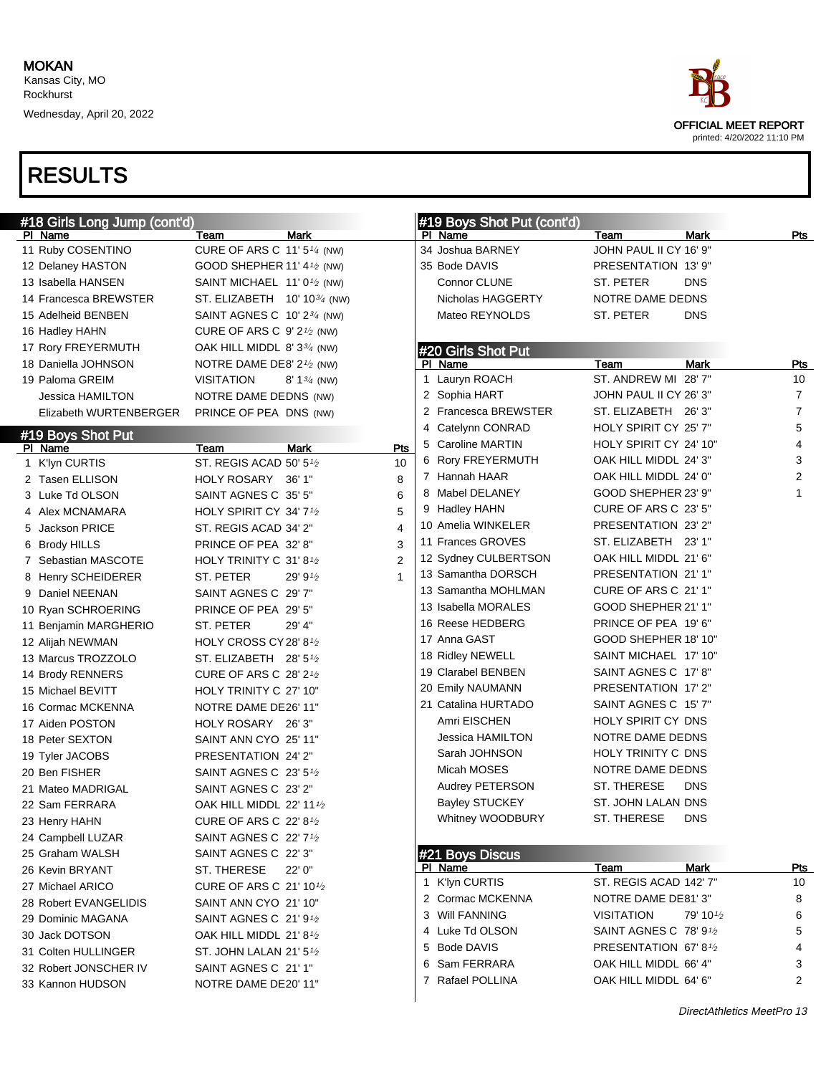

| #18 Girls Long Jump (cont'd) |                                                    |                        |                | #19 Boys Shot Put (cont'd) |                                     |                       |                |
|------------------------------|----------------------------------------------------|------------------------|----------------|----------------------------|-------------------------------------|-----------------------|----------------|
| PI Name                      | Team                                               | Mark                   |                | PI Name                    | Team                                | Mark                  | Pts            |
| 11 Ruby COSENTINO            | CURE OF ARS C $11'5''$ (NW)                        |                        |                | 34 Joshua BARNEY           | JOHN PAUL II CY 16' 9"              |                       |                |
| 12 Delaney HASTON            | GOOD SHEPHER 11' 4 $\frac{1}{2}$ (NW)              |                        |                | 35 Bode DAVIS              | PRESENTATION 13' 9"                 |                       |                |
| 13 Isabella HANSEN           | SAINT MICHAEL $11'0\frac{1}{2}$ (NW)               |                        |                | Connor CLUNE               | ST. PETER                           | <b>DNS</b>            |                |
| 14 Francesca BREWSTER        | ST. ELIZABETH $10' 10^{3/4}$ (NW)                  |                        |                | Nicholas HAGGERTY          | NOTRE DAME DEDNS                    |                       |                |
| 15 Adelheid BENBEN           | SAINT AGNES C $10'2^{3/4}$ (NW)                    |                        |                | Mateo REYNOLDS             | ST. PETER                           | <b>DNS</b>            |                |
| 16 Hadley HAHN               | CURE OF ARS C $9'2'$ (NW)                          |                        |                |                            |                                     |                       |                |
| 17 Rory FREYERMUTH           | OAK HILL MIDDL 8' $3\frac{3}{4}$ (NW)              |                        |                | #20 Girls Shot Put         |                                     |                       |                |
| 18 Daniella JOHNSON          | NOTRE DAME DE8' 2 <sup>1</sup> / <sub>2</sub> (NW) |                        |                | PI Name                    | Team                                | Mark                  | <u>Pts</u>     |
| 19 Paloma GREIM              | VISITATION                                         | 8' $1\frac{3}{4}$ (NW) |                | 1 Lauryn ROACH             | ST. ANDREW MI 28'7"                 |                       | 10             |
| Jessica HAMILTON             | NOTRE DAME DEDNS (NW)                              |                        |                | 2 Sophia HART              | JOHN PAUL II CY 26' 3"              |                       | $\overline{7}$ |
| Elizabeth WURTENBERGER       | PRINCE OF PEA DNS (NW)                             |                        |                | 2 Francesca BREWSTER       | ST. ELIZABETH 26'3"                 |                       | $\overline{7}$ |
| #19 Boys Shot Put            |                                                    |                        |                | 4 Catelynn CONRAD          | HOLY SPIRIT CY 25' 7"               |                       | 5              |
| PI Name                      | Team                                               | <b>Mark</b>            | Pts            | 5 Caroline MARTIN          | HOLY SPIRIT CY 24' 10"              |                       | 4              |
| 1 K'lyn CURTIS               | ST. REGIS ACAD 50' 5 <sup>1</sup> /2               |                        | 10             | 6 Rory FREYERMUTH          | OAK HILL MIDDL 24' 3"               |                       | 3              |
| 2 Tasen ELLISON              | HOLY ROSARY 36' 1"                                 |                        | 8              | 7 Hannah HAAR              | OAK HILL MIDDL 24' 0"               |                       | $\overline{2}$ |
| 3 Luke Td OLSON              | SAINT AGNES C 35' 5"                               |                        | 6              | 8 Mabel DELANEY            | GOOD SHEPHER 23' 9"                 |                       | 1              |
| 4 Alex MCNAMARA              | HOLY SPIRIT CY 34' 7 <sup>1/2</sup>                |                        | 5              | 9 Hadley HAHN              | CURE OF ARS C 23' 5"                |                       |                |
| 5 Jackson PRICE              | ST. REGIS ACAD 34' 2"                              |                        | 4              | 10 Amelia WINKELER         | PRESENTATION 23' 2"                 |                       |                |
| 6 Brody HILLS                | PRINCE OF PEA 32' 8"                               |                        | 3              | 11 Frances GROVES          | ST. ELIZABETH 23' 1"                |                       |                |
| 7 Sebastian MASCOTE          | HOLY TRINITY C 31'8 <sup>1</sup> /2                |                        | $\overline{2}$ | 12 Sydney CULBERTSON       | OAK HILL MIDDL 21' 6"               |                       |                |
| 8 Henry SCHEIDERER           | ST. PETER                                          | 29' 9 $\frac{1}{2}$    | 1              | 13 Samantha DORSCH         | PRESENTATION 21'1"                  |                       |                |
| 9 Daniel NEENAN              | SAINT AGNES C 29' 7"                               |                        |                | 13 Samantha MOHLMAN        | CURE OF ARS C 21' 1"                |                       |                |
| 10 Ryan SCHROERING           | PRINCE OF PEA 29' 5"                               |                        |                | 13 Isabella MORALES        | GOOD SHEPHER 21' 1"                 |                       |                |
| 11 Benjamin MARGHERIO        | ST. PETER                                          | 29' 4"                 |                | 16 Reese HEDBERG           | PRINCE OF PEA 19' 6"                |                       |                |
| 12 Alijah NEWMAN             | HOLY CROSS CY 28' 8 <sup>1</sup> /2                |                        |                | 17 Anna GAST               | GOOD SHEPHER 18' 10"                |                       |                |
| 13 Marcus TROZZOLO           | ST. ELIZABETH $28'5\frac{1}{2}$                    |                        |                | 18 Ridley NEWELL           | SAINT MICHAEL 17' 10"               |                       |                |
| 14 Brody RENNERS             | <b>CURE OF ARS C 28' 21/2</b>                      |                        |                | 19 Clarabel BENBEN         | SAINT AGNES C 17' 8"                |                       |                |
| 15 Michael BEVITT            | HOLY TRINITY C 27' 10"                             |                        |                | 20 Emily NAUMANN           | PRESENTATION 17'2"                  |                       |                |
| 16 Cormac MCKENNA            | NOTRE DAME DE26' 11"                               |                        |                | 21 Catalina HURTADO        | SAINT AGNES C 15' 7"                |                       |                |
| 17 Aiden POSTON              | HOLY ROSARY 26'3"                                  |                        |                | Amri EISCHEN               | HOLY SPIRIT CY DNS                  |                       |                |
| 18 Peter SEXTON              | SAINT ANN CYO 25' 11"                              |                        |                | Jessica HAMILTON           | NOTRE DAME DEDNS                    |                       |                |
| 19 Tyler JACOBS              | PRESENTATION 24' 2"                                |                        |                | Sarah JOHNSON              | HOLY TRINITY C DNS                  |                       |                |
| 20 Ben FISHER                | SAINT AGNES C 23' 51/2                             |                        |                | Micah MOSES                | NOTRE DAME DEDNS                    |                       |                |
| 21 Mateo MADRIGAL            | SAINT AGNES C 23' 2"                               |                        |                | Audrey PETERSON            | ST. THERESE                         | <b>DNS</b>            |                |
| 22 Sam FERRARA               | OAK HILL MIDDL 22' 111/2                           |                        |                | <b>Bayley STUCKEY</b>      | ST. JOHN LALAN DNS                  |                       |                |
| 23 Henry HAHN                | <b>CURE OF ARS C 22' 81/2</b>                      |                        |                | <b>Whitney WOODBURY</b>    | ST. THERESE                         | <b>DNS</b>            |                |
| 24 Campbell LUZAR            | SAINT AGNES C 22' 7 <sup>1</sup> /2                |                        |                |                            |                                     |                       |                |
| 25 Graham WALSH              | SAINT AGNES C 22' 3"                               |                        |                | #21 Boys Discus            |                                     |                       |                |
| 26 Kevin BRYANT              | ST. THERESE                                        | 22' 0"                 |                | PI Name                    | Team                                | Mark                  | <u>Pts</u>     |
| 27 Michael ARICO             | CURE OF ARS C 21' 10 <sup>1</sup> /2               |                        |                | 1 K'lyn CURTIS             | ST. REGIS ACAD 142' 7"              |                       | 10             |
| 28 Robert EVANGELIDIS        | SAINT ANN CYO 21' 10"                              |                        |                | 2 Cormac MCKENNA           | NOTRE DAME DE81'3"                  |                       | 8              |
| 29 Dominic MAGANA            | SAINT AGNES C $21'9'2$                             |                        |                | 3 Will FANNING             | VISITATION                          | 79' 10 <sup>1/2</sup> | 6              |
| 30 Jack DOTSON               | OAK HILL MIDDL $21'8\frac{1}{2}$                   |                        |                | 4 Luke Td OLSON            | SAINT AGNES C 78' 9 <sup>1</sup> /2 |                       | 5              |
| 31 Colten HULLINGER          | ST. JOHN LALAN 21' 51/2                            |                        |                | 5 Bode DAVIS               | PRESENTATION 67'81/2                |                       | 4              |
| 32 Robert JONSCHER IV        | SAINT AGNES C 21' 1"                               |                        |                | 6 Sam FERRARA              | OAK HILL MIDDL 66' 4"               |                       | 3              |
|                              |                                                    |                        |                | 7 Rafael POLLINA           | OAK HILL MIDDL 64' 6"               |                       | 2              |
| 33 Kannon HUDSON             | NOTRE DAME DE20' 11"                               |                        |                |                            |                                     |                       |                |